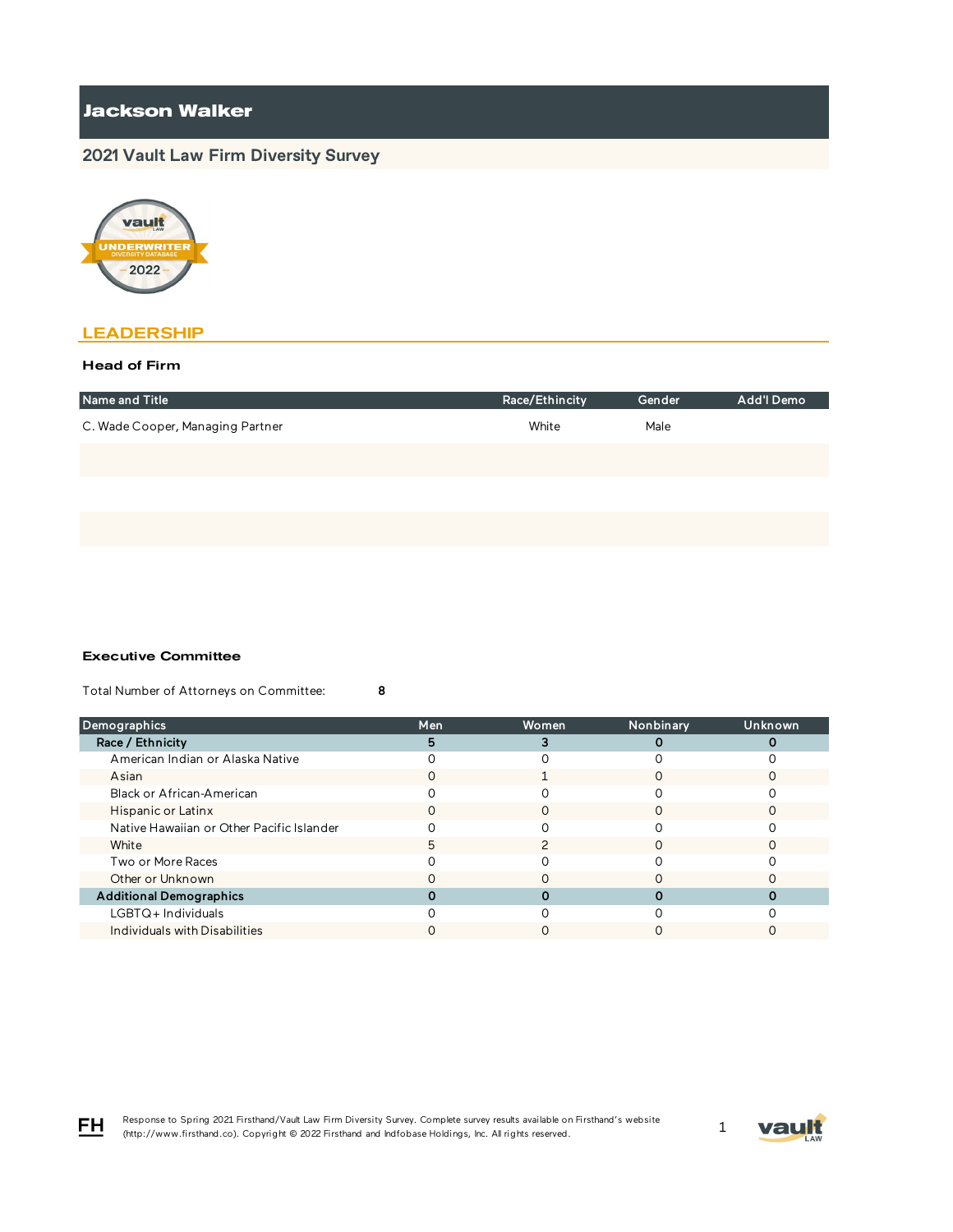# **Jackson Walker**

# **2021 Vault Law Firm Diversity Survey**



## **LEADERSHIP**

### Head of Firm

| Name and Title                   | Race/Ethincity | Gender | Add'l Demo |
|----------------------------------|----------------|--------|------------|
| C. Wade Cooper, Managing Partner | White          | Male   |            |
|                                  |                |        |            |
|                                  |                |        |            |
|                                  |                |        |            |

#### Executive Committee

Total Number of Attorneys on Committee: 8

| <b>Demographics</b>                       | Men | Women | Nonbinary | <b>Unknown</b> |
|-------------------------------------------|-----|-------|-----------|----------------|
| Race / Ethnicity                          |     |       |           |                |
| American Indian or Alaska Native          |     |       |           |                |
| Asian                                     |     |       |           |                |
| Black or African-American                 |     |       |           |                |
| Hispanic or Latinx                        |     |       |           |                |
| Native Hawaiian or Other Pacific Islander |     |       |           |                |
| White                                     | 5   |       |           |                |
| Two or More Races                         |     |       |           |                |
| Other or Unknown                          |     |       |           |                |
| <b>Additional Demographics</b>            |     |       |           |                |
| $LGBTQ+$ Individuals                      |     |       |           |                |
| Individuals with Disabilities             |     |       |           |                |



FH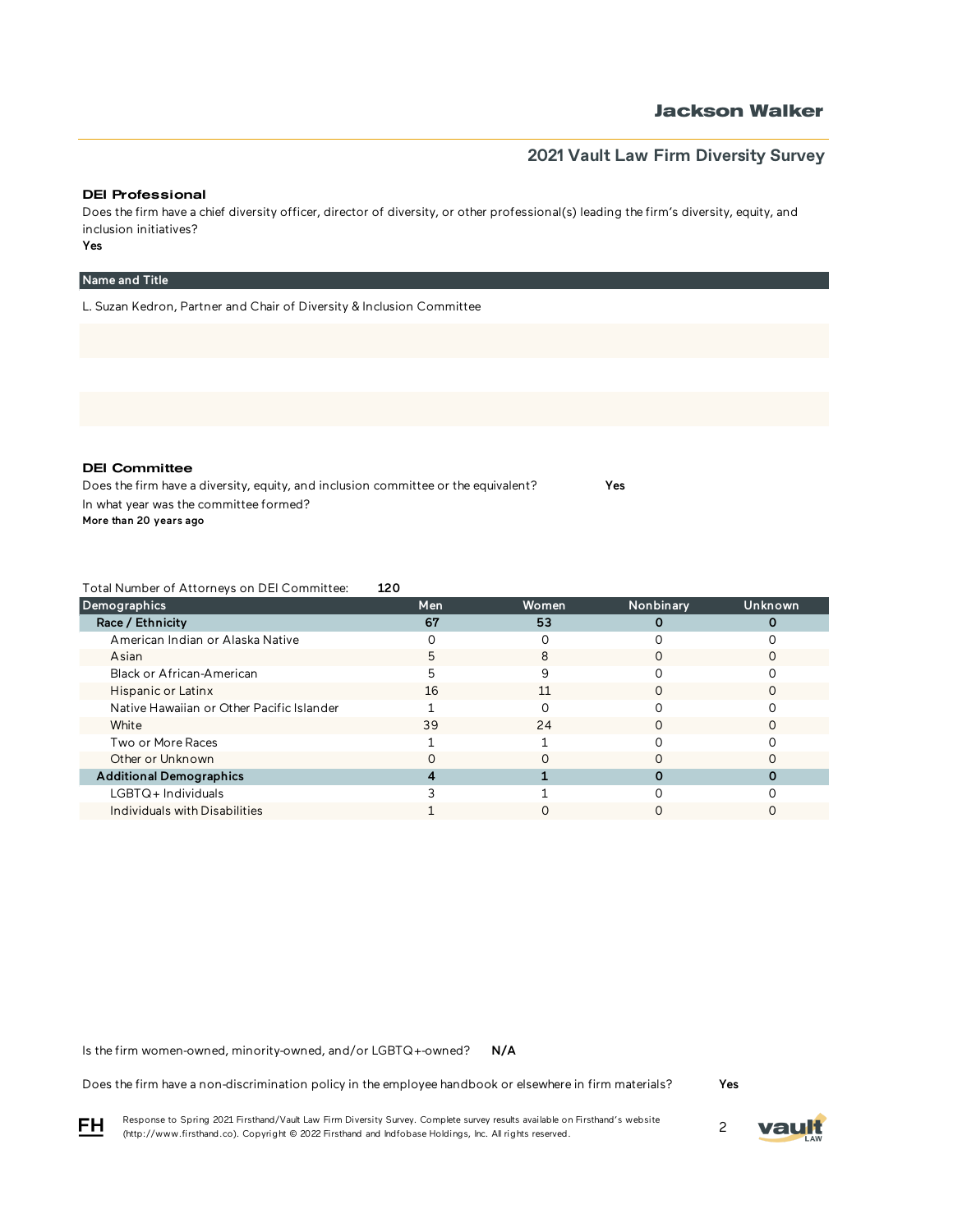## **Jackson Walker**

## **2021 Vault Law Firm Diversity Survey**

#### DEI Professional

Does the firm have a chief diversity officer, director of diversity, or other professional(s) leading the firm's diversity, equity, and inclusion initiatives?

Yes

### Name and Title

L. Suzan Kedron, Partner and Chair of Diversity & Inclusion Committee

DEI Committee

Does the firm have a diversity, equity, and inclusion committee or the equivalent? Yes In what year was the committee formed? More than 20 years ago

Total Number of Attorneys on DEI Committee: 120

| Demographics                              | Men | Women | Nonbinary | <b>Unknown</b> |
|-------------------------------------------|-----|-------|-----------|----------------|
| Race / Ethnicity                          | 67  | 53    |           |                |
| American Indian or Alaska Native          |     |       |           |                |
| Asian                                     | 5   | 8     |           |                |
| Black or African-American                 | 5   |       |           |                |
| Hispanic or Latinx                        | 16  | 11    |           |                |
| Native Hawaiian or Other Pacific Islander |     |       |           |                |
| White                                     | 39  | 24    |           |                |
| Two or More Races                         |     |       |           |                |
| Other or Unknown                          |     |       |           |                |
| <b>Additional Demographics</b>            |     |       |           |                |
| LGBTQ+Individuals                         |     |       |           |                |
| Individuals with Disabilities             |     |       |           |                |

N/A Is the firm women-owned, minority-owned, and/or LGBTQ+-owned?

Does the firm have a non-discrimination policy in the employee handbook or elsewhere in firm materials?

Yes

Response to Spring 2021 Firsthand/Vault Law Firm Diversity Survey. Complete survey results available on Firsthand's website Response to Spring 2021 Firsthand/vault Law Firm Diversity Survey. Complete survey results available on Firsthand s website<br>(http://www.firsthand.co). Copyright © 2022 Firsthand and Indfobase Holdings, Inc. All rights rese



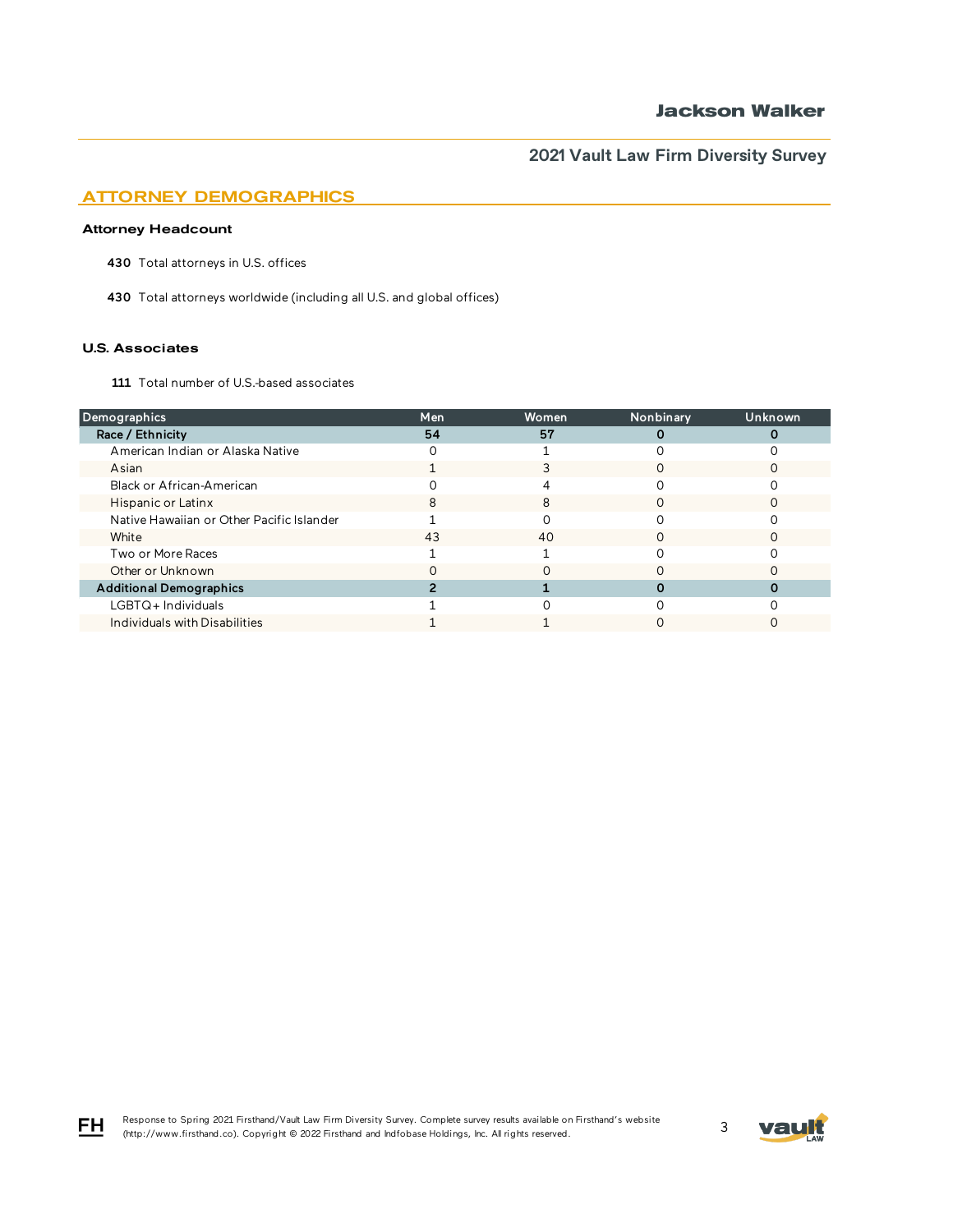## ATTORNEY DEMOGRAPHICS

### Attorney Headcount

430 Total attorneys in U.S. offices

430 Total attorneys worldwide (including all U.S. and global offices)

#### U.S. Associates

FH

111 Total number of U.S.-based associates

| Demographics                              | Men | Women | Nonbinary | Unknown |
|-------------------------------------------|-----|-------|-----------|---------|
| Race / Ethnicity                          | 54  | 57    |           |         |
| American Indian or Alaska Native          |     |       |           |         |
| Asian                                     |     |       |           |         |
| Black or African-American                 |     |       |           |         |
| Hispanic or Latinx                        | 8   | 8     | ∩         |         |
| Native Hawaiian or Other Pacific Islander |     |       |           |         |
| White                                     | 43  | 40    |           |         |
| Two or More Races                         |     |       |           |         |
| Other or Unknown                          |     |       |           |         |
| <b>Additional Demographics</b>            |     |       |           |         |
| $LGBTQ+$ Individuals                      |     |       |           |         |
| Individuals with Disabilities             |     |       |           |         |

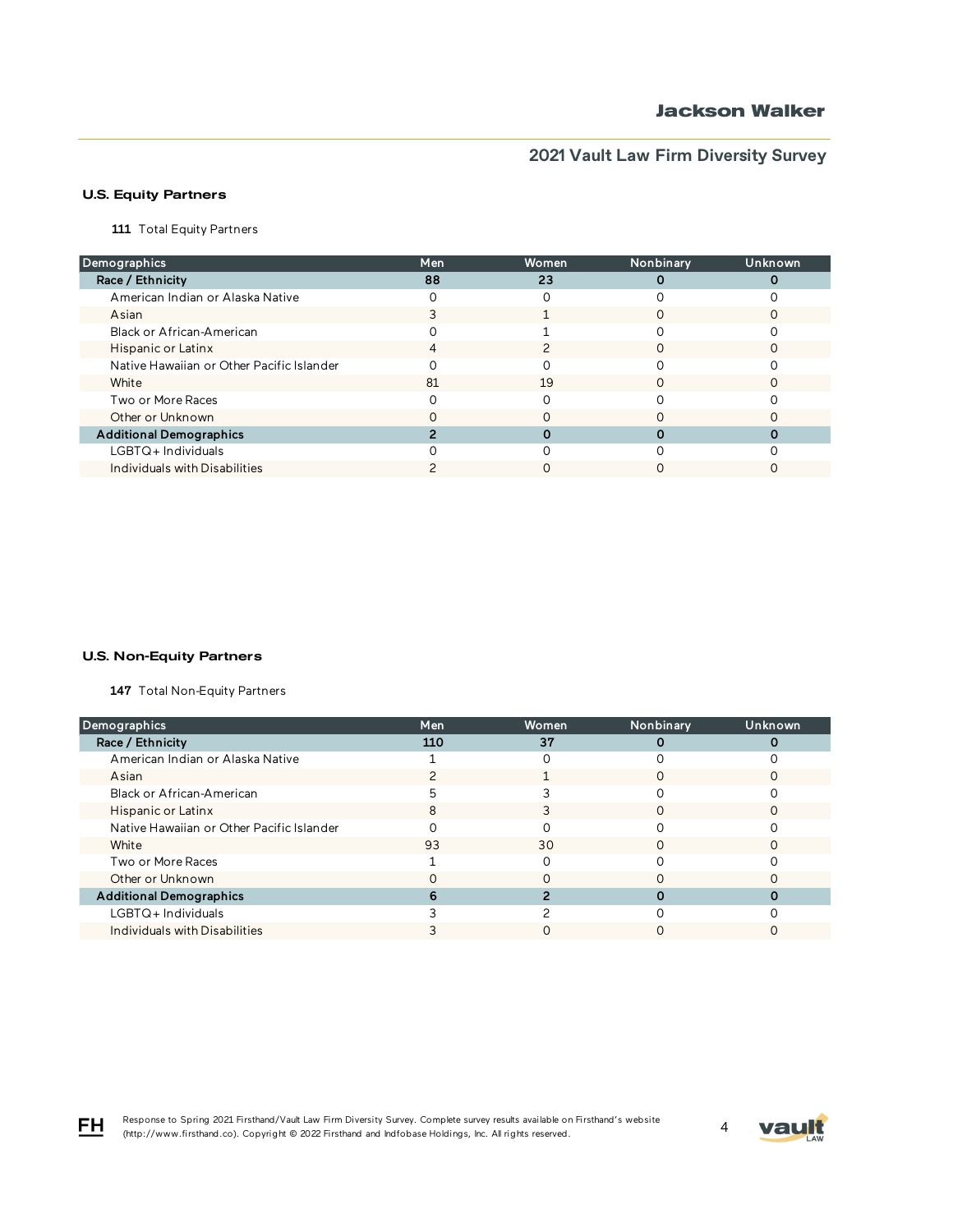### U.S. Equity Partners

111 Total Equity Partners

| Demographics                              | Men | Women | Nonbinary | Unknown |
|-------------------------------------------|-----|-------|-----------|---------|
| Race / Ethnicity                          | 88  | 23    |           |         |
| American Indian or Alaska Native          |     |       |           |         |
| Asian                                     |     |       |           |         |
| Black or African-American                 |     |       |           |         |
| Hispanic or Latinx                        | 4   |       | ∩         |         |
| Native Hawaiian or Other Pacific Islander |     |       |           |         |
| White                                     | 81  | 19    |           |         |
| Two or More Races                         |     |       |           |         |
| Other or Unknown                          |     |       |           |         |
| <b>Additional Demographics</b>            |     |       |           |         |
| $LGBTQ+$ Individuals                      |     |       |           |         |
| Individuals with Disabilities             |     |       |           |         |

### U.S. Non-Equity Partners

147 Total Non-Equity Partners

| Demographics                              | Men | Women | Nonbinary | Unknown |
|-------------------------------------------|-----|-------|-----------|---------|
| Race / Ethnicity                          | 110 | 37    |           |         |
| American Indian or Alaska Native          |     |       |           |         |
| Asian                                     |     |       |           |         |
| Black or African-American                 |     |       |           |         |
| Hispanic or Latinx                        |     |       |           |         |
| Native Hawaiian or Other Pacific Islander |     |       |           |         |
| White                                     | 93  | 30    | ∩         |         |
| Two or More Races                         |     |       |           |         |
| Other or Unknown                          |     |       |           |         |
| <b>Additional Demographics</b>            |     |       |           |         |
| LGBTQ+Individuals                         |     |       |           |         |
| Individuals with Disabilities             |     |       |           |         |

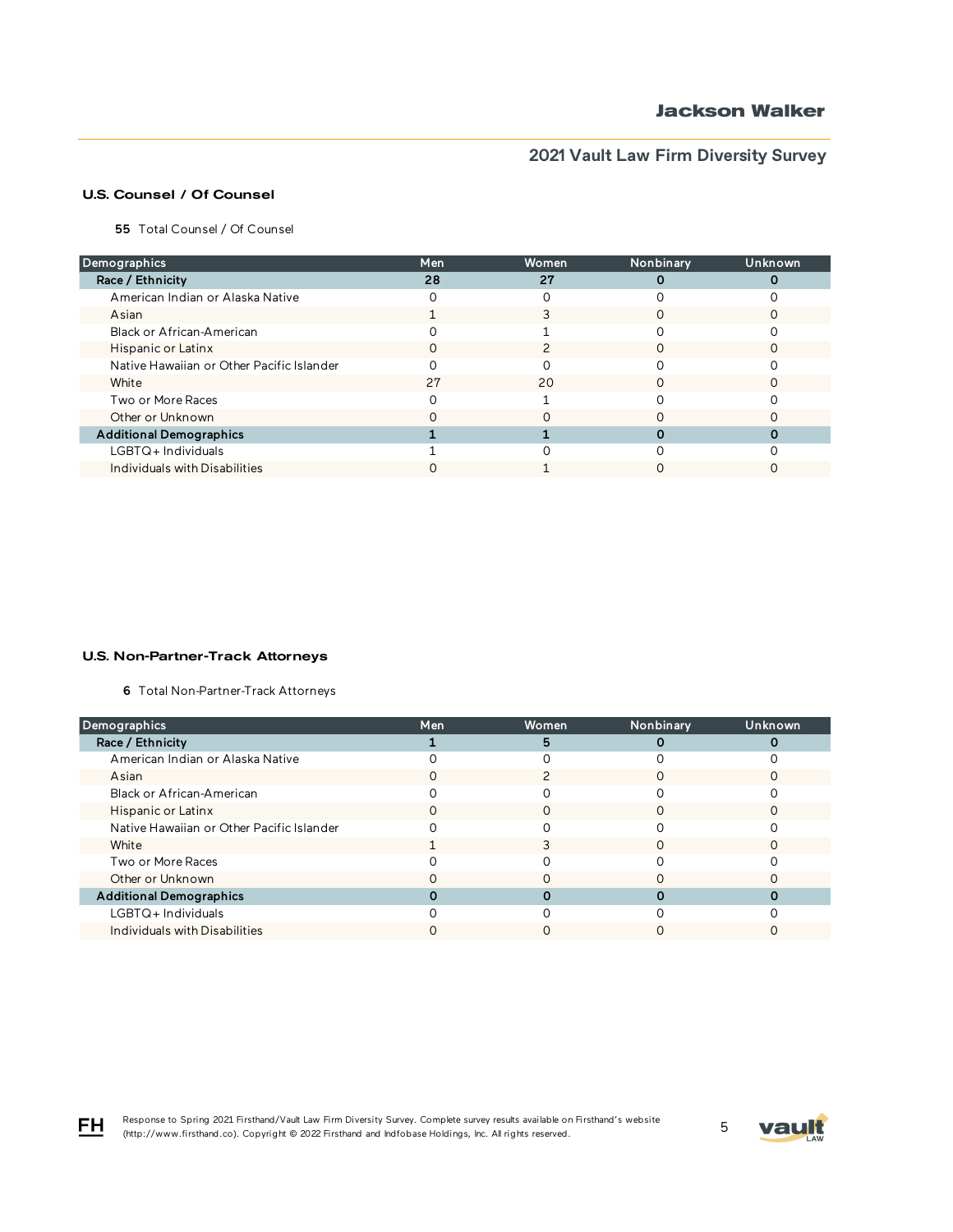### U.S. Counsel / Of Counsel

55 Total Counsel / Of Counsel

| Demographics                              | <b>Men</b> | Women | Nonbinary | Unknown |
|-------------------------------------------|------------|-------|-----------|---------|
| Race / Ethnicity                          | 28         | 27    |           |         |
| American Indian or Alaska Native          |            |       |           |         |
| Asian                                     |            |       |           |         |
| Black or African-American                 |            |       |           |         |
| Hispanic or Latinx                        | O          |       |           |         |
| Native Hawaiian or Other Pacific Islander |            |       |           |         |
| White                                     | 27         | 20    |           |         |
| Two or More Races                         |            |       |           |         |
| Other or Unknown                          |            |       |           |         |
| <b>Additional Demographics</b>            |            |       |           |         |
| LGBTQ+Individuals                         |            |       |           |         |
| Individuals with Disabilities             |            |       |           |         |

#### U.S. Non-Partner-Track Attorneys

6 Total Non-Partner-Track Attorneys

| Demographics                              | Men | Women | Nonbinary | Unknown |
|-------------------------------------------|-----|-------|-----------|---------|
| Race / Ethnicity                          |     | 5     |           |         |
| American Indian or Alaska Native          |     |       |           |         |
| Asian                                     |     |       |           |         |
| Black or African-American                 |     |       |           |         |
| Hispanic or Latinx                        |     |       |           |         |
| Native Hawaiian or Other Pacific Islander |     |       |           |         |
| White                                     |     |       | ∩         |         |
| Two or More Races                         |     |       |           |         |
| Other or Unknown                          |     |       |           |         |
| <b>Additional Demographics</b>            |     |       |           |         |
| $LGBTQ+$ Individuals                      |     |       |           |         |
| Individuals with Disabilities             |     |       |           |         |

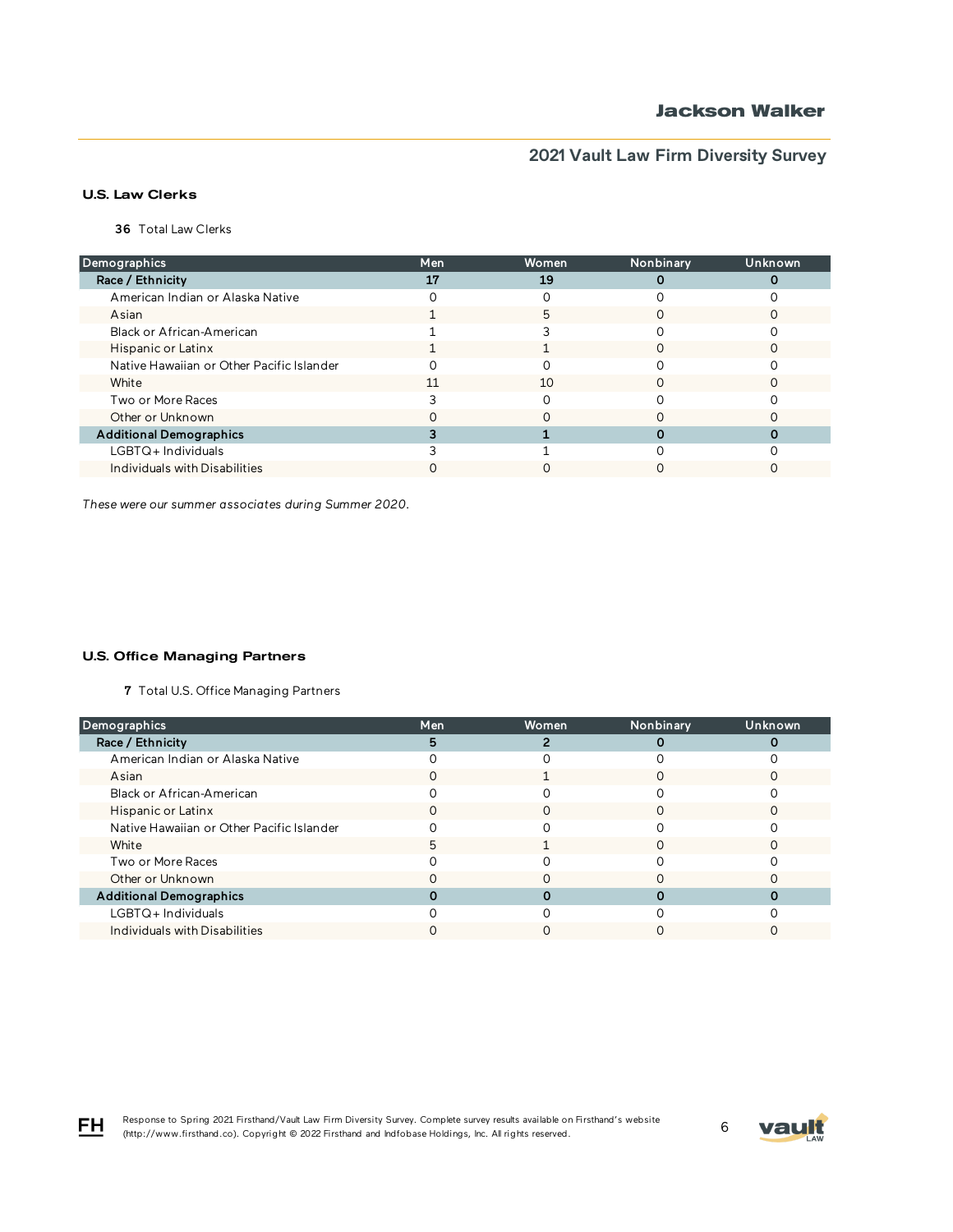### U.S. Law Clerks

36 Total Law Clerks

| Demographics                              | Men | Women | Nonbinary | Unknown |
|-------------------------------------------|-----|-------|-----------|---------|
| Race / Ethnicity                          | 17  | 19    |           |         |
| American Indian or Alaska Native          |     |       |           |         |
| Asian                                     |     | 5     |           |         |
| Black or African-American                 |     |       |           |         |
| Hispanic or Latinx                        |     |       |           |         |
| Native Hawaiian or Other Pacific Islander |     |       |           |         |
| White                                     | 11  | 10    |           |         |
| Two or More Races                         |     |       |           |         |
| Other or Unknown                          |     |       |           |         |
| <b>Additional Demographics</b>            |     |       |           |         |
| LGBTQ+ Individuals                        |     |       |           |         |
| Individuals with Disabilities             |     |       |           |         |

*These were our summer associates during Summer 2020.*

### U.S. Office Managing Partners

7 Total U.S. Office Managing Partners

| Demographics                              | Men | Women | Nonbinary | <b>Unknown</b> |
|-------------------------------------------|-----|-------|-----------|----------------|
| Race / Ethnicity                          |     |       |           |                |
| American Indian or Alaska Native          |     |       |           |                |
| Asian                                     |     |       |           |                |
| Black or African-American                 |     |       |           |                |
| Hispanic or Latinx                        |     |       |           |                |
| Native Hawaiian or Other Pacific Islander |     |       |           |                |
| White                                     |     |       |           |                |
| Two or More Races                         |     |       |           |                |
| Other or Unknown                          |     |       |           |                |
| <b>Additional Demographics</b>            |     |       |           |                |
| $LGBTQ+$ Individuals                      |     |       |           |                |
| Individuals with Disabilities             |     |       |           |                |



FH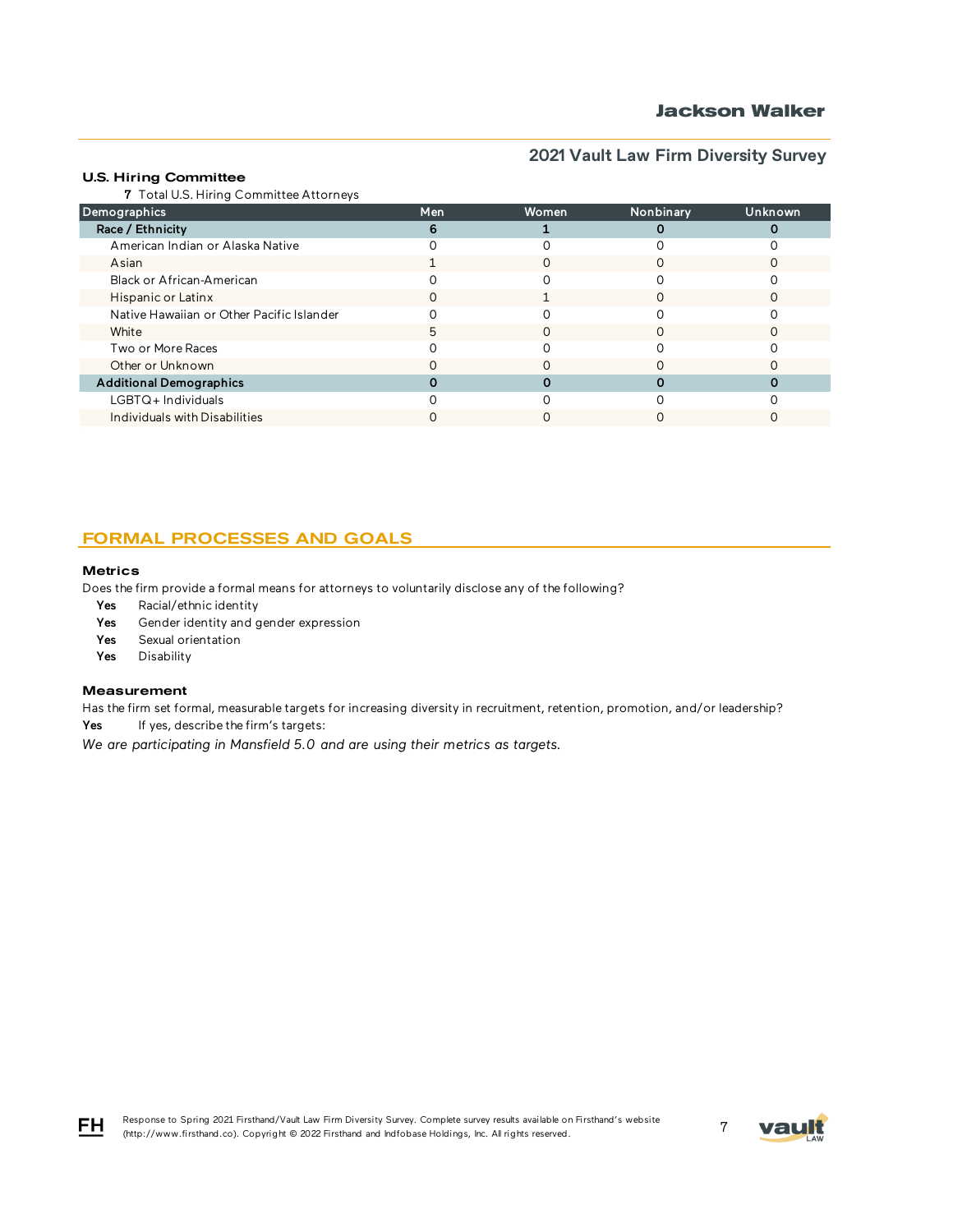## **Jackson Walker**

# **2021 Vault Law Firm Diversity Survey**

### U.S. Hiring Committee

7 Total U.S. Hiring Committee Attorneys

| Demographics                              | <b>Men</b> | Women | Nonbinary | Unknown |
|-------------------------------------------|------------|-------|-----------|---------|
| Race / Ethnicity                          |            |       |           |         |
| American Indian or Alaska Native          |            |       |           |         |
| Asian                                     |            |       |           |         |
| Black or African-American                 |            |       |           |         |
| Hispanic or Latinx                        |            |       |           |         |
| Native Hawaiian or Other Pacific Islander |            |       |           |         |
| White                                     |            |       |           |         |
| Two or More Races                         |            |       |           |         |
| Other or Unknown                          |            |       |           |         |
| <b>Additional Demographics</b>            |            |       |           |         |
| LGBTQ+Individuals                         |            |       |           |         |
| Individuals with Disabilities             |            |       |           |         |

## FORMAL PROCESSES AND GOALS

#### **Metrics**

Does the firm provide a formal means for attorneys to voluntarily disclose any of the following?

- Yes Racial/ethnic identity
- Yes Gender identity and gender expression
- Yes Sexual orientation
- Yes Disability

#### Measurement

Has the firm set formal, measurable targets for increasing diversity in recruitment, retention, promotion, and/or leadership?

Yes If yes, describe the firm's targets:

*We are participating in Mansfield 5.0 and are using their metrics as targets.*





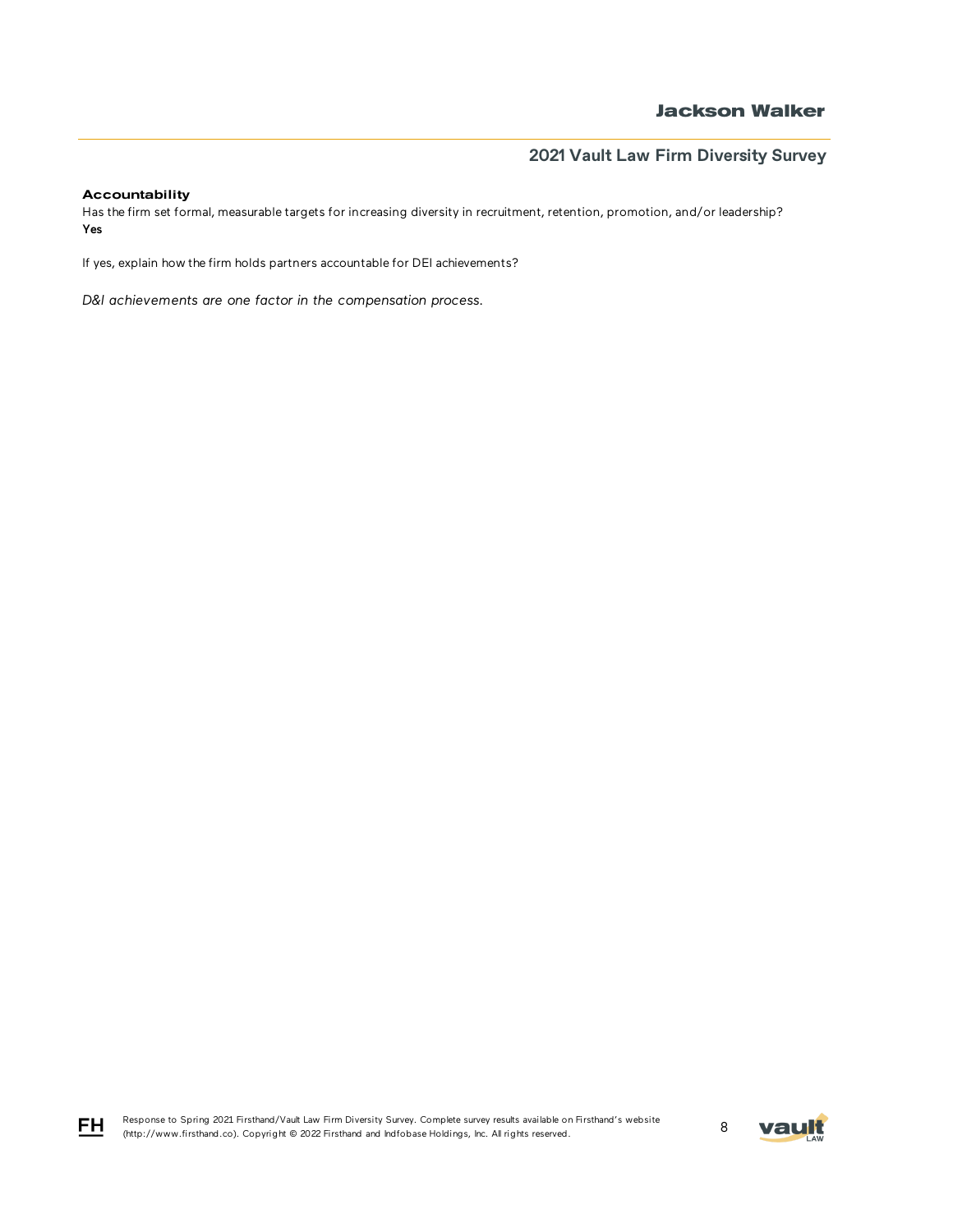### Accountability

Has the firm set formal, measurable targets for increasing diversity in recruitment, retention, promotion, and/or leadership? Yes

If yes, explain how the firm holds partners accountable for DEI achievements?

*D&I achievements are one factor in the compensation process.* 



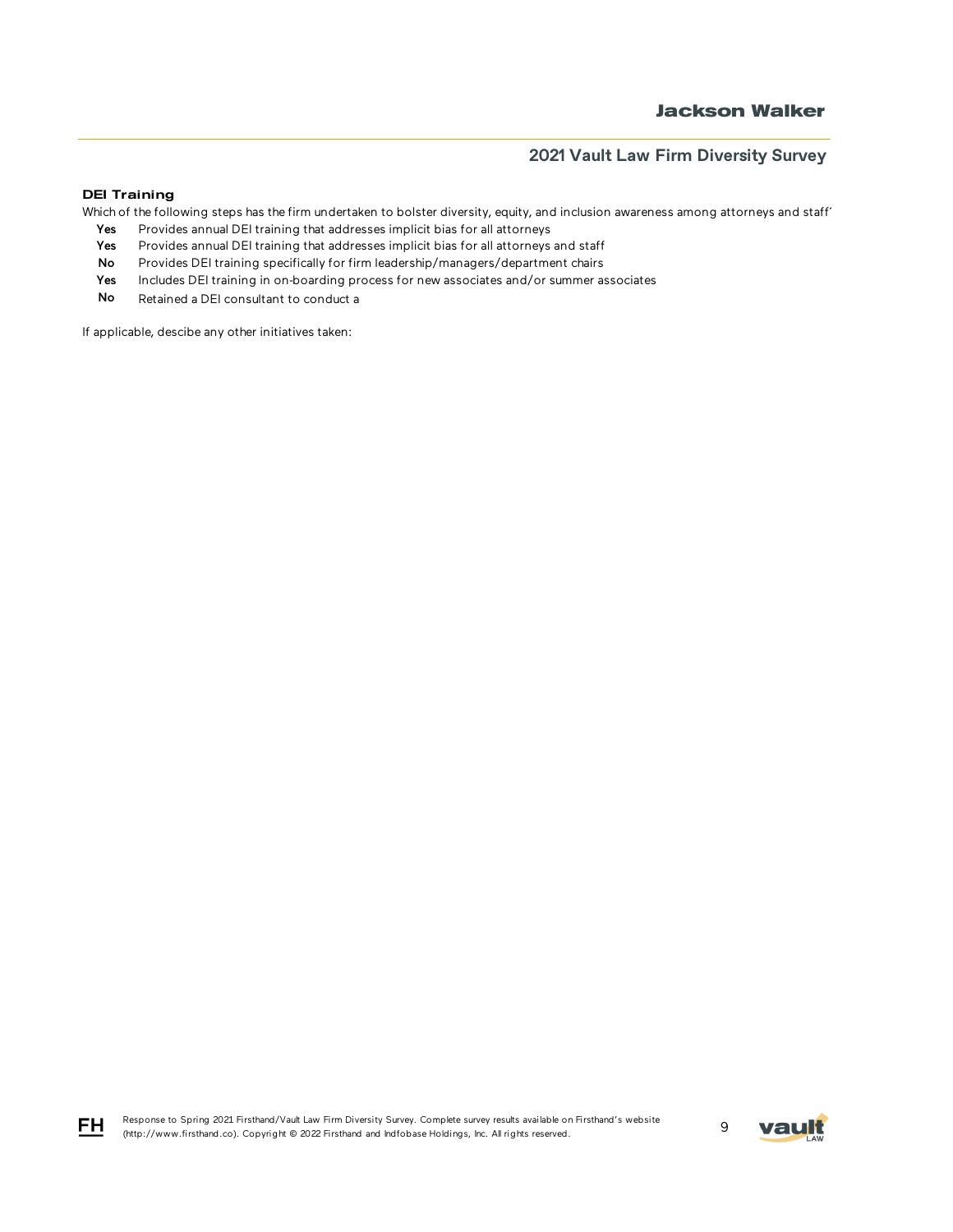### DEI Training

Which of the following steps has the firm undertaken to bolster diversity, equity, and inclusion awareness among attorneys and staff'

- Yes Provides annual DEI training that addresses implicit bias for all attorneys
- Yes Provides annual DEI training that addresses implicit bias for all attorneys and staff
- No Provides DEI training specifically for firm leadership/managers/department chairs
- Yes Includes DEI training in on-boarding process for new associates and/or summer associates
- No Retained a DEI consultant to conduct a

If applicable, descibe any other initiatives taken:



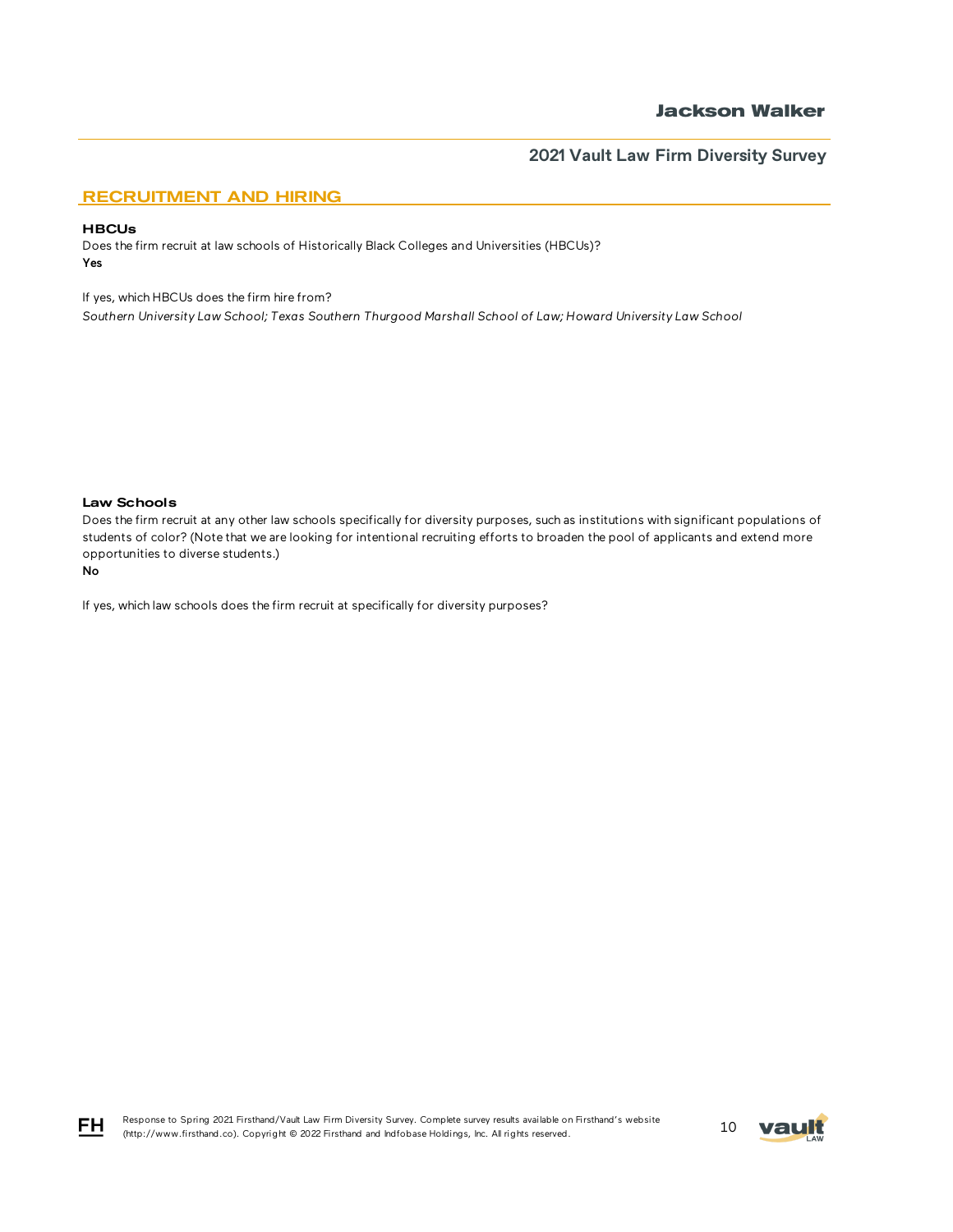## RECRUITMENT AND HIRING

#### **HBCUs**

Does the firm recruit at law schools of Historically Black Colleges and Universities (HBCUs)? Yes

If yes, which HBCUs does the firm hire from?

*Southern University Law School; Texas Southern Thurgood Marshall School of Law; Howard University Law School* 

### Law Schools

Does the firm recruit at any other law schools specifically for diversity purposes, such as institutions with significant populations of students of color? (Note that we are looking for intentional recruiting efforts to broaden the pool of applicants and extend more opportunities to diverse students.)

#### No

If yes, which law schools does the firm recruit at specifically for diversity purposes?



$$
\mathsf{F}\mathsf{H}
$$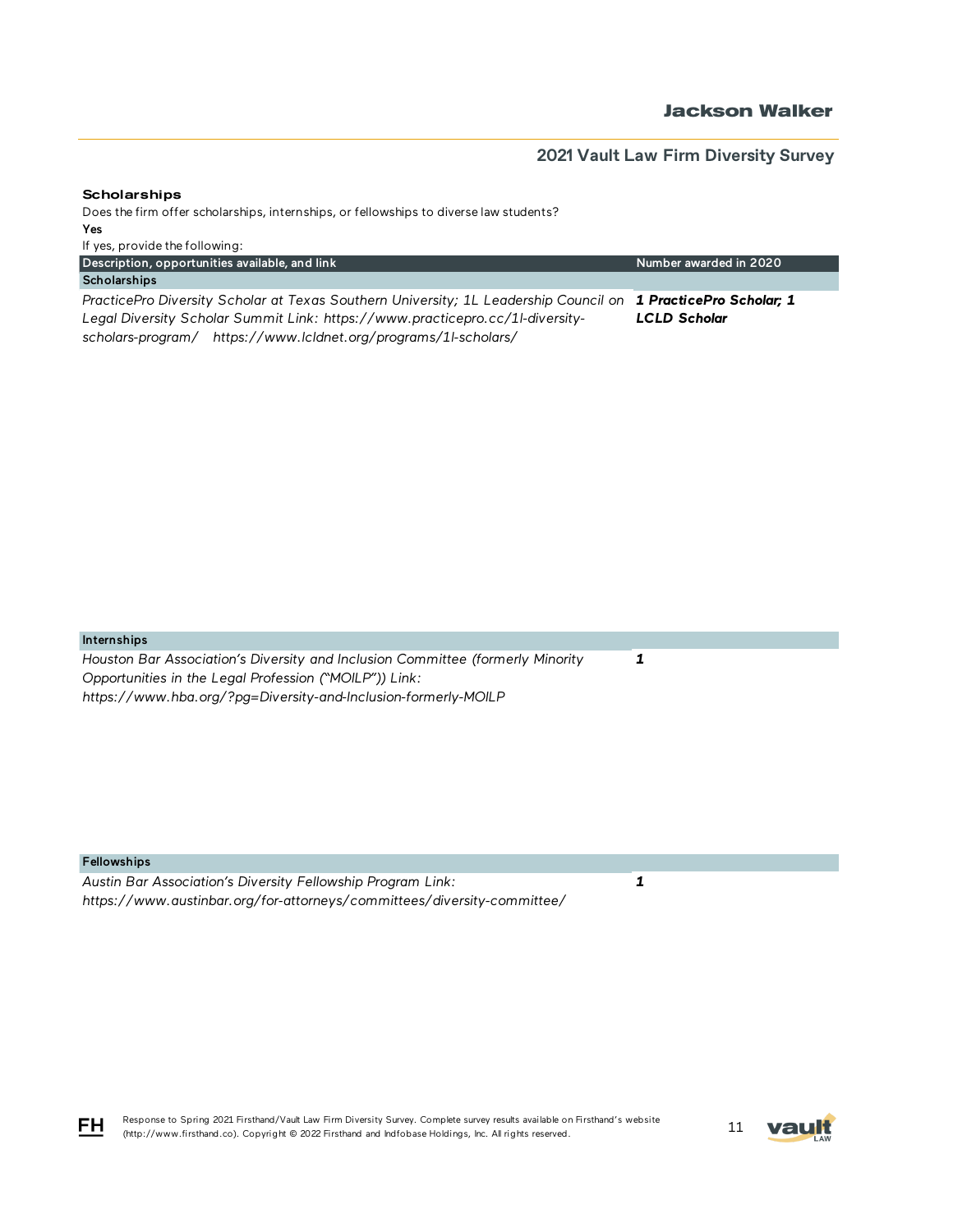Number awarded in 2020

### **Scholarships**

Description, opportunities available, and link

Does the firm offer scholarships, internships, or fellowships to diverse law students? Yes If yes, provide the following:

**Scholarships** *PracticePro Diversity Scholar at Texas Southern University; 1L Leadership Council on 1 PracticePro Scholar; 1 Legal Diversity Scholar Summit Link: https://www.practicepro.cc/1l-diversityscholars-program/ https://www.lcldnet.org/programs/1l-scholars/ LCLD Scholar*

#### Internships

*Houston Bar Association's Diversity and Inclusion Committee (formerly Minority Opportunities in the Legal Profession ("MOILP")) Link: https://www.hba.org/?pg=Diversity-and-Inclusion-formerly-MOILP* 

#### Fellowships

*Austin Bar Association's Diversity Fellowship Program Link: https://www.austinbar.org/for-attorneys/committees/diversity-committee/*  *1*

*1*

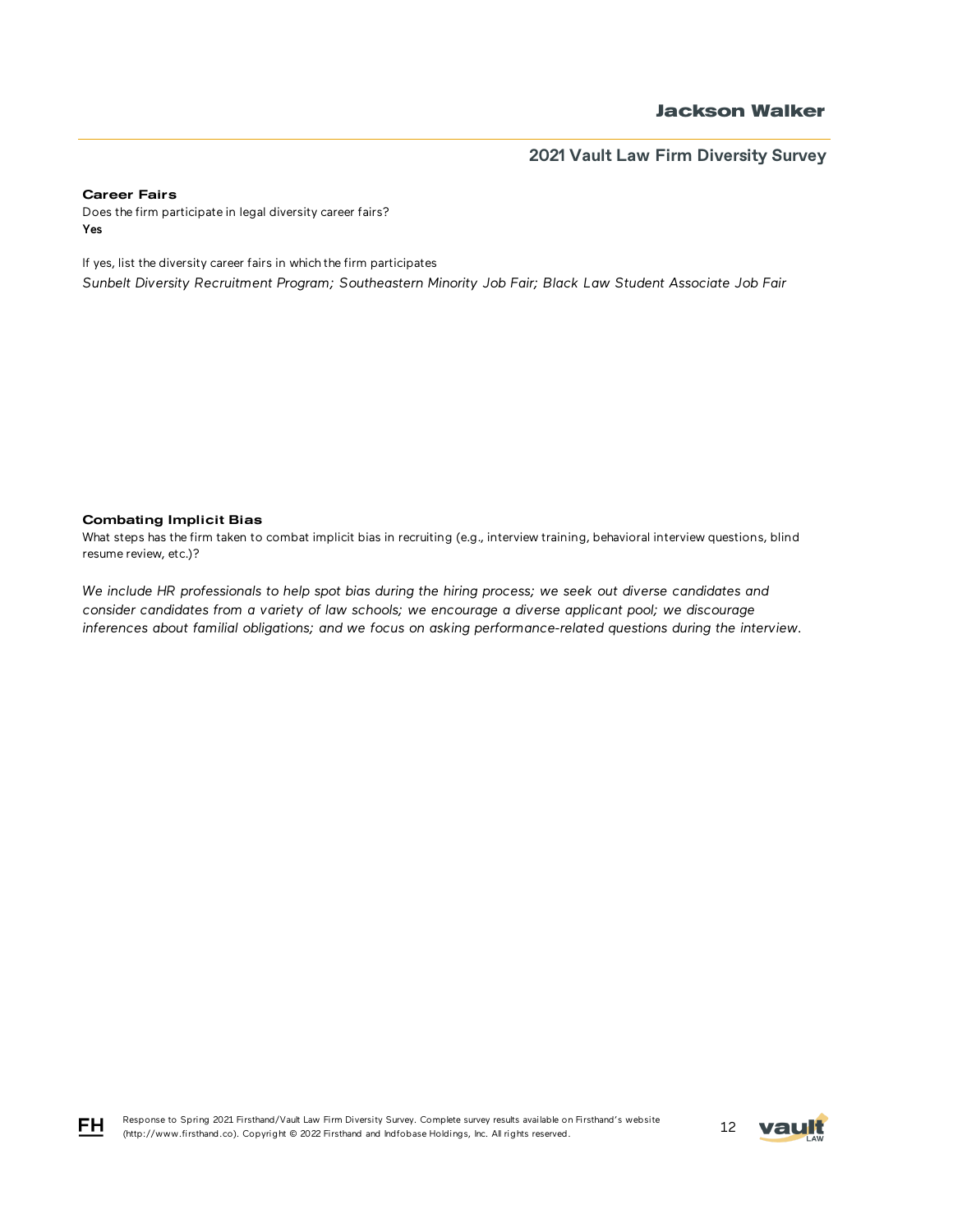#### Career Fairs

Does the firm participate in legal diversity career fairs? Yes

If yes, list the diversity career fairs in which the firm participates *Sunbelt Diversity Recruitment Program; Southeastern Minority Job Fair; Black Law Student Associate Job Fair*

#### Combating Implicit Bias

What steps has the firm taken to combat implicit bias in recruiting (e.g., interview training, behavioral interview questions, blind resume review, etc.)?

*We include HR professionals to help spot bias during the hiring process; we seek out diverse candidates and consider candidates from a variety of law schools; we encourage a diverse applicant pool; we discourage inferences about familial obligations; and we focus on asking performance-related questions during the interview.*



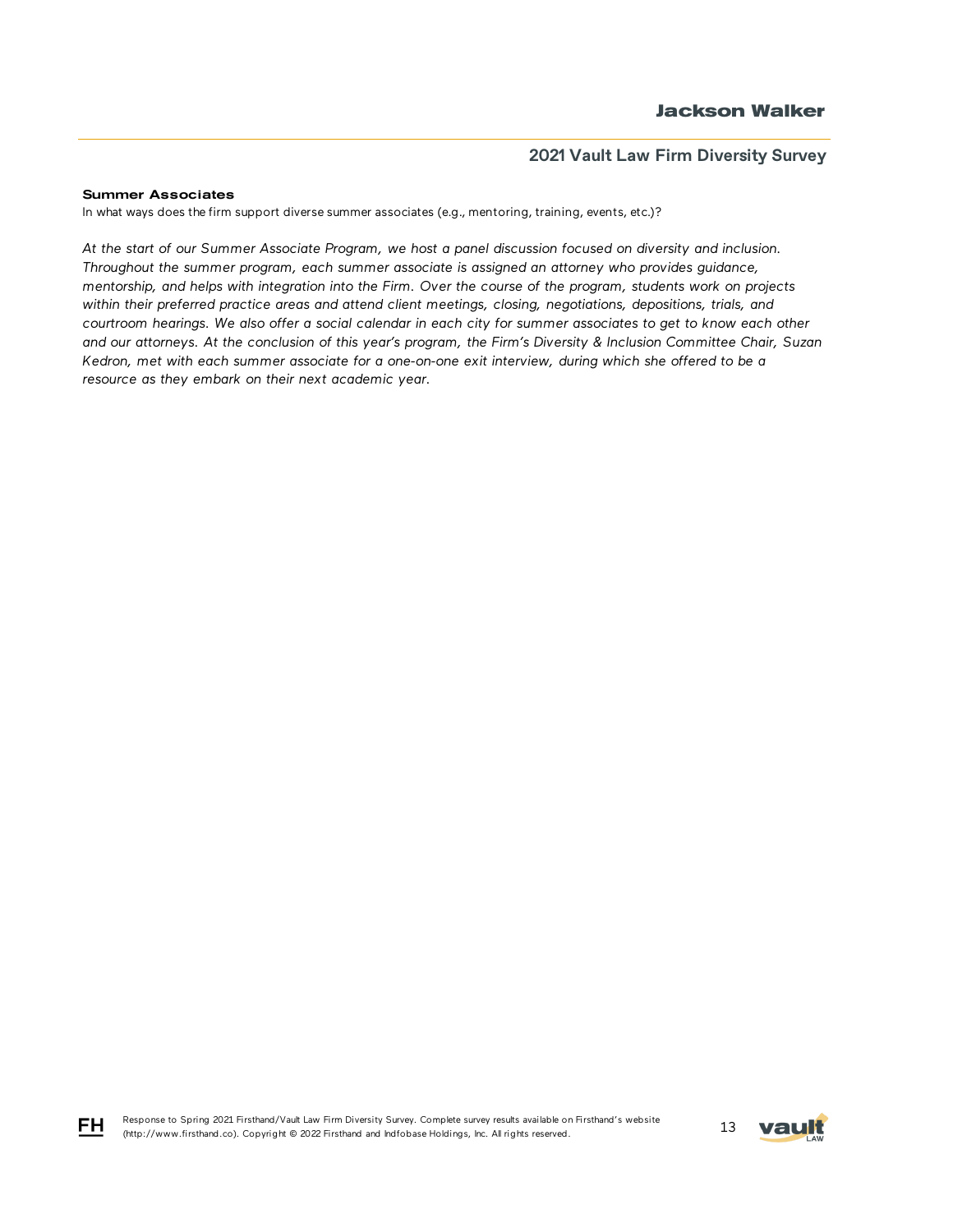#### Summer Associates

FH

In what ways does the firm support diverse summer associates (e.g., mentoring, training, events, etc.)?

*At the start of our Summer Associate Program, we host a panel discussion focused on diversity and inclusion. Throughout the summer program, each summer associate is assigned an attorney who provides guidance, mentorship, and helps with integration into the Firm. Over the course of the program, students work on projects within their preferred practice areas and attend client meetings, closing, negotiations, depositions, trials, and courtroom hearings. We also offer a social calendar in each city for summer associates to get to know each other and our attorneys. At the conclusion of this year's program, the Firm's Diversity & Inclusion Committee Chair, Suzan Kedron, met with each summer associate for a one-on-one exit interview, during which she offered to be a resource as they embark on their next academic year.*

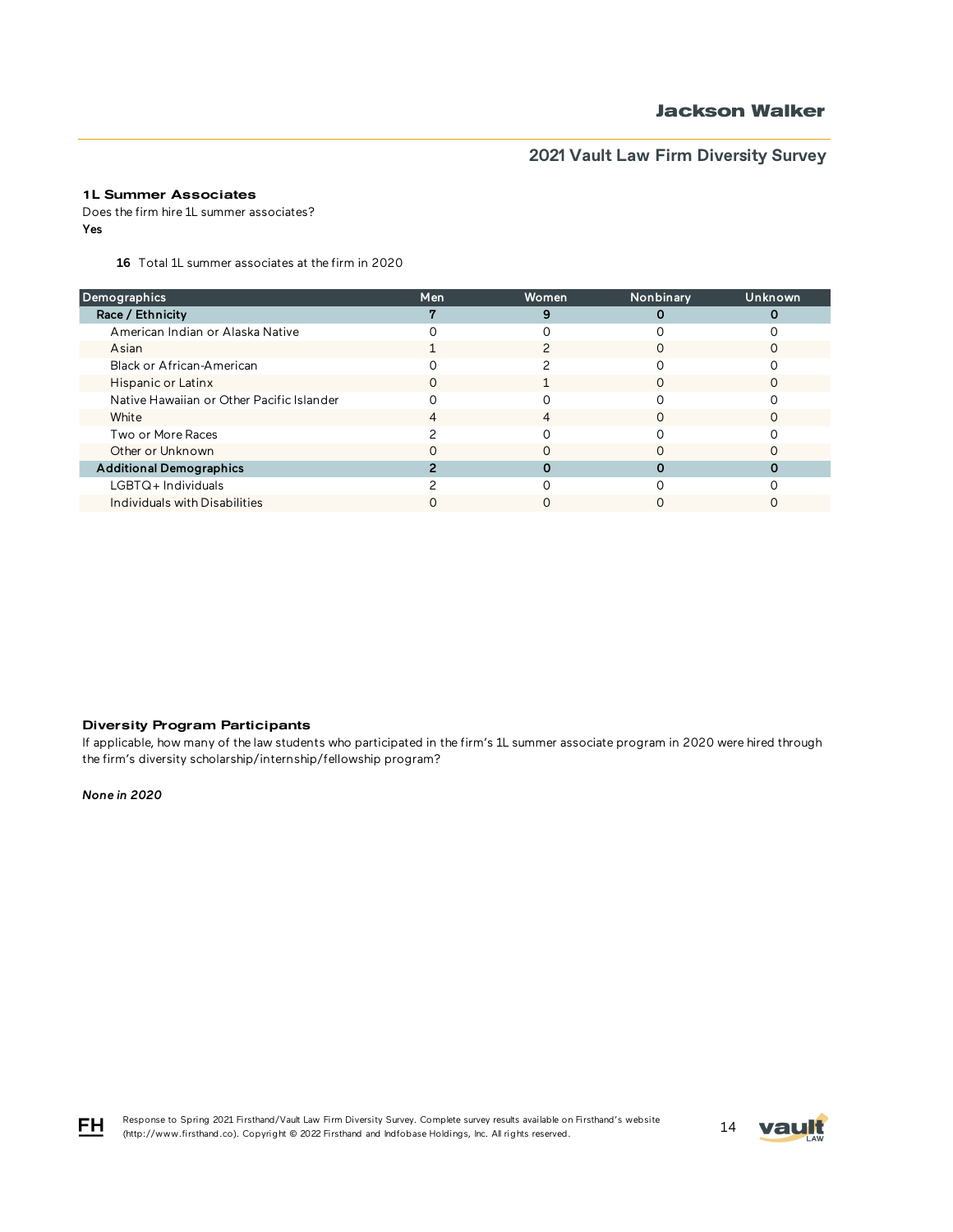### 1L Summer Associates

Does the firm hire 1L summer associates? Yes

16 Total 1L summer associates at the firm in 2020

| Demographics                              | Men | Women | Nonbinary | Unknown |
|-------------------------------------------|-----|-------|-----------|---------|
| Race / Ethnicity                          |     |       |           |         |
| American Indian or Alaska Native          |     |       |           |         |
| Asian                                     |     |       |           |         |
| Black or African-American                 |     |       |           |         |
| Hispanic or Latinx                        | Ω   |       |           |         |
| Native Hawaiian or Other Pacific Islander |     |       |           |         |
| White                                     |     | 4     |           |         |
| Two or More Races                         |     |       |           |         |
| Other or Unknown                          |     |       |           |         |
| <b>Additional Demographics</b>            |     |       |           |         |
| $LGBTQ+$ Individuals                      |     |       |           |         |
| Individuals with Disabilities             |     |       |           |         |
|                                           |     |       |           |         |

### Diversity Program Participants

If applicable, how many of the law students who participated in the firm's 1L summer associate program in 2020 were hired through the firm's diversity scholarship/internship/fellowship program?

*None in 2020*



Response to Spring 2021 Firsthand/Vault Law Firm Diversity Survey. Complete survey results available on Firsthand's website Response to Spring 2021 Firstnand/Vault Law Firm Diversity Survey. Complete survey results available on Firstnand's website<br>(http://www.firsthand.co). Copyright © 2022 Firsthand and Indfobase Holdings, Inc. All rights rese

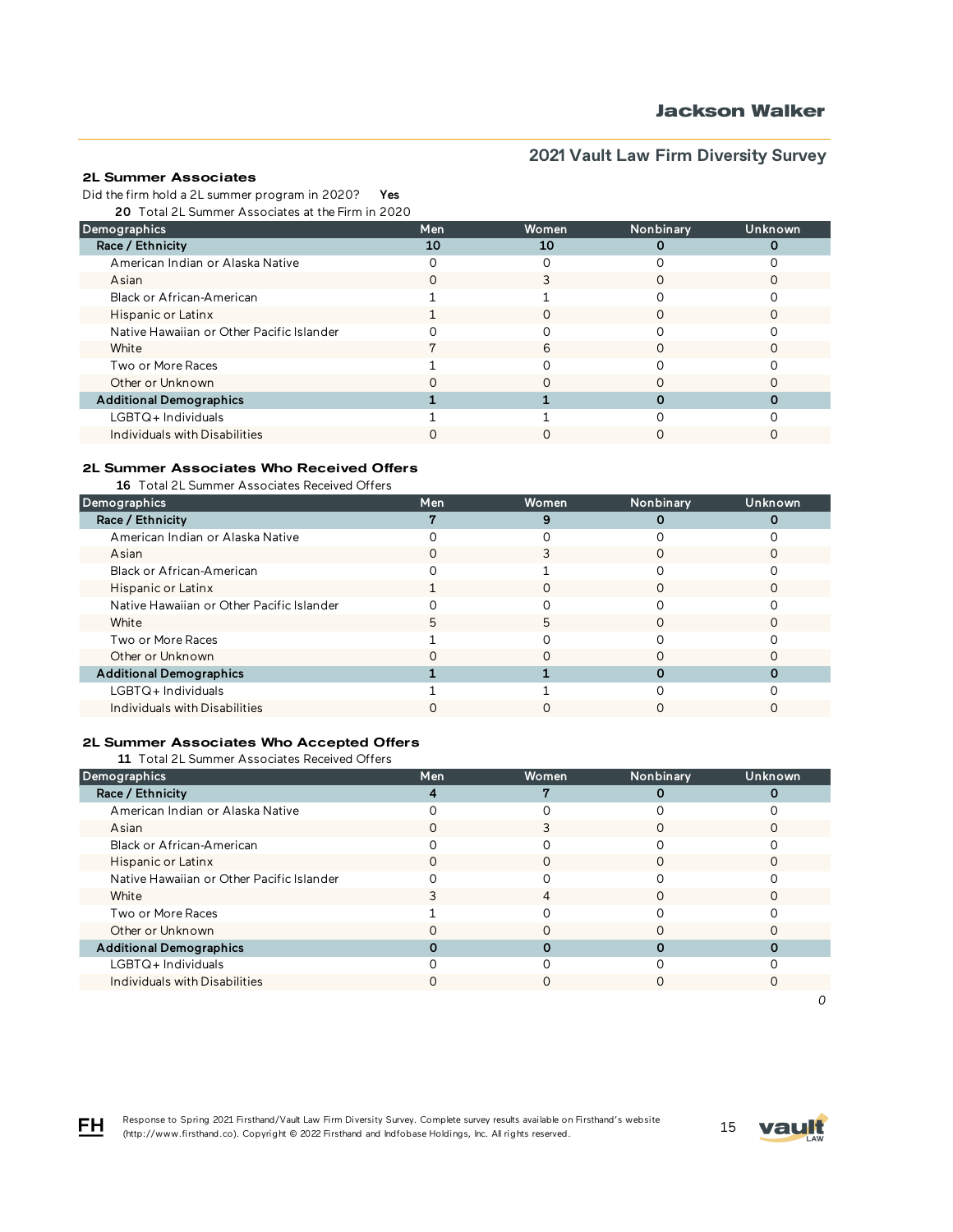### 2L Summer Associates

Did the firm hold a 2L summer program in 2020? Yes

20 Total 2L Summer Associates at the Firm in 2020

| Demographics                              | Men | <b>Women</b> | Nonbinary | Unknown |
|-------------------------------------------|-----|--------------|-----------|---------|
| Race / Ethnicity                          | 10  | 10           |           |         |
| American Indian or Alaska Native          |     |              |           |         |
| Asian                                     |     |              |           |         |
| Black or African-American                 |     |              |           |         |
| Hispanic or Latinx                        |     |              |           |         |
| Native Hawaiian or Other Pacific Islander |     |              |           |         |
| White                                     |     | 6            |           |         |
| Two or More Races                         |     |              |           |         |
| Other or Unknown                          |     |              |           |         |
| <b>Additional Demographics</b>            |     |              |           |         |
| LGBTQ+Individuals                         |     |              |           |         |
| Individuals with Disabilities             |     |              |           |         |

### 2L Summer Associates Who Received Offers

16 Total 2L Summer Associates Received Offers

| Demographics                              | Men | Women | Nonbinary | Unknown |
|-------------------------------------------|-----|-------|-----------|---------|
| Race / Ethnicity                          |     |       |           |         |
| American Indian or Alaska Native          |     |       |           |         |
| Asian                                     |     |       |           |         |
| Black or African-American                 |     |       |           |         |
| Hispanic or Latinx                        |     |       |           |         |
| Native Hawaiian or Other Pacific Islander |     |       |           |         |
| White                                     | 5   | 5     |           |         |
| Two or More Races                         |     |       |           |         |
| Other or Unknown                          |     |       |           |         |
| <b>Additional Demographics</b>            |     |       |           |         |
| LGBTQ+Individuals                         |     |       |           |         |
| Individuals with Disabilities             |     |       |           |         |

### 2L Summer Associates Who Accepted Offers

11 Total 2L Summer Associates Received Offers

| Men | <b>Women</b> | Nonbinary | Unknown |
|-----|--------------|-----------|---------|
|     |              |           |         |
|     |              |           |         |
|     |              |           |         |
|     |              |           |         |
|     |              |           |         |
|     |              |           |         |
|     | 4            |           |         |
|     |              |           |         |
|     |              |           |         |
|     |              |           |         |
|     |              |           |         |
|     |              |           |         |
|     |              |           |         |



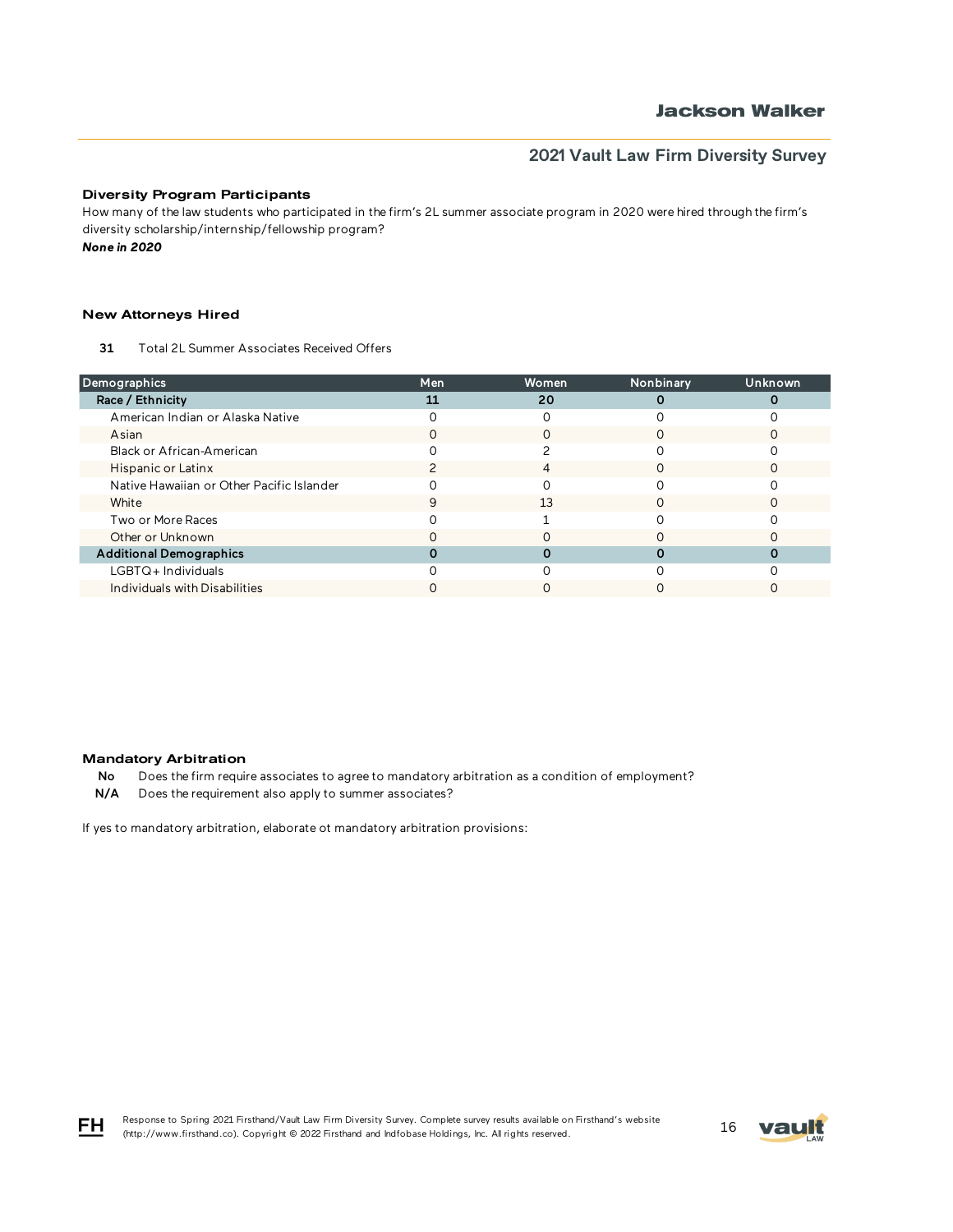### Diversity Program Participants

How many of the law students who participated in the firm's 2L summer associate program in 2020 were hired through the firm's diversity scholarship/internship/fellowship program?

*None in 2020*

#### New Attorneys Hired

31 Total 2L Summer Associates Received Offers

| Demographics                              | Men | Women | Nonbinary | Unknown |
|-------------------------------------------|-----|-------|-----------|---------|
| Race / Ethnicity                          | 11  | 20    |           |         |
| American Indian or Alaska Native          |     |       |           |         |
| Asian                                     |     |       |           |         |
| Black or African-American                 |     |       |           |         |
| Hispanic or Latinx                        |     | 4     |           |         |
| Native Hawaiian or Other Pacific Islander |     |       |           |         |
| White                                     | 9   | 13    |           |         |
| Two or More Races                         |     |       |           |         |
| Other or Unknown                          |     |       |           |         |
| <b>Additional Demographics</b>            |     |       |           |         |
| LGBTQ+ Individuals                        |     |       |           |         |
| Individuals with Disabilities             |     |       |           |         |

#### Mandatory Arbitration

No Does the firm require associates to agree to mandatory arbitration as a condition of employment?

N/A Does the requirement also apply to summer associates?

If yes to mandatory arbitration, elaborate ot mandatory arbitration provisions:





FH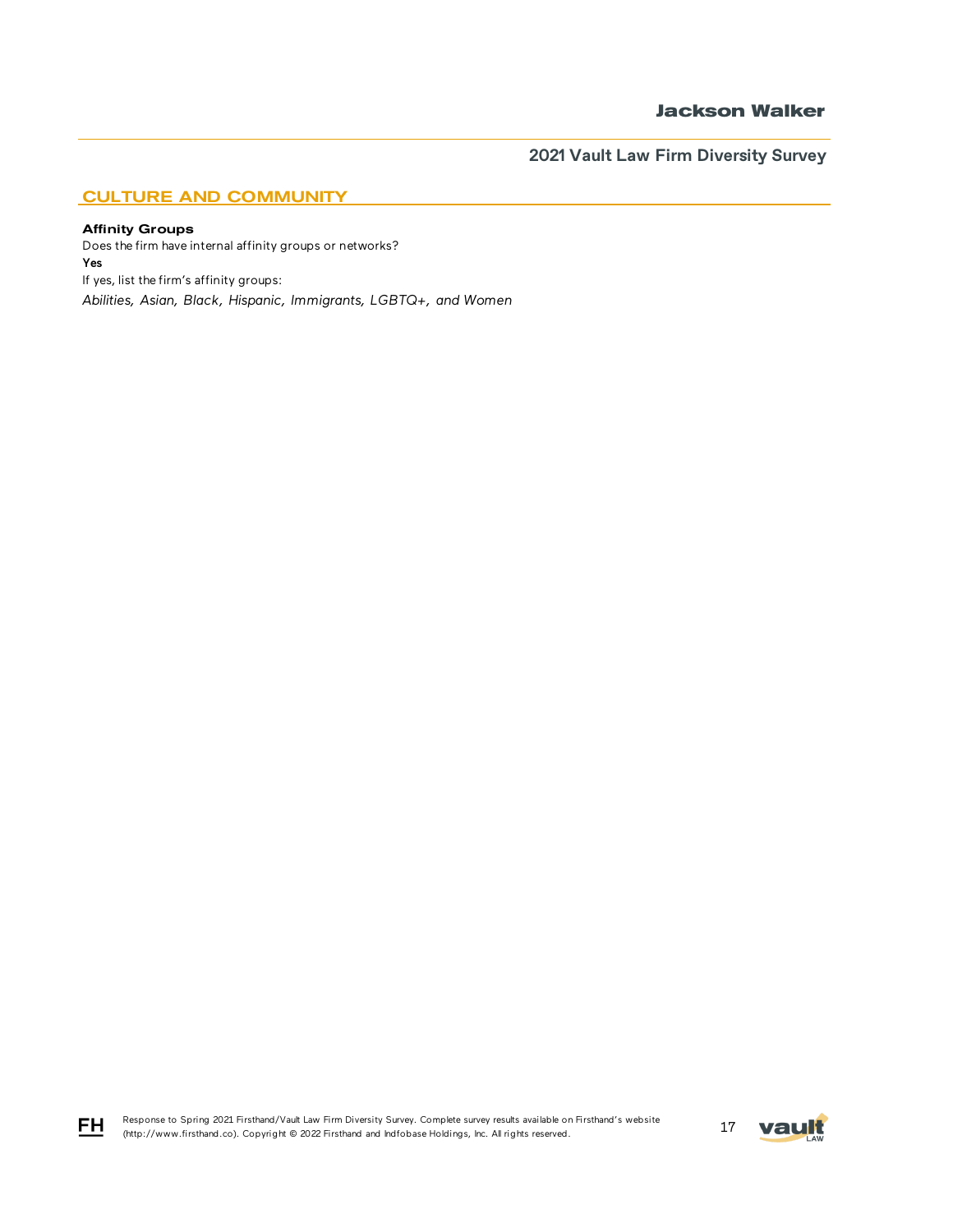## CULTURE AND COMMUNITY

### Affinity Groups

FH

Does the firm have internal affinity groups or networks? Yes If yes, list the firm's affinity groups: *Abilities, Asian, Black, Hispanic, Immigrants, LGBTQ+, and Women*

Response to Spring 2021 Firsthand/Vault Law Firm Diversity Survey. Complete survey results available on Firsthand's website Response to Spring 2021 Firsthand/vault Law Firm Diversity Survey. Complete survey results available on Firsthand's website<br>(http://www.firsthand.co). Copyright © 2022 Firsthand and Indfobase Holdings, Inc. All rights rese

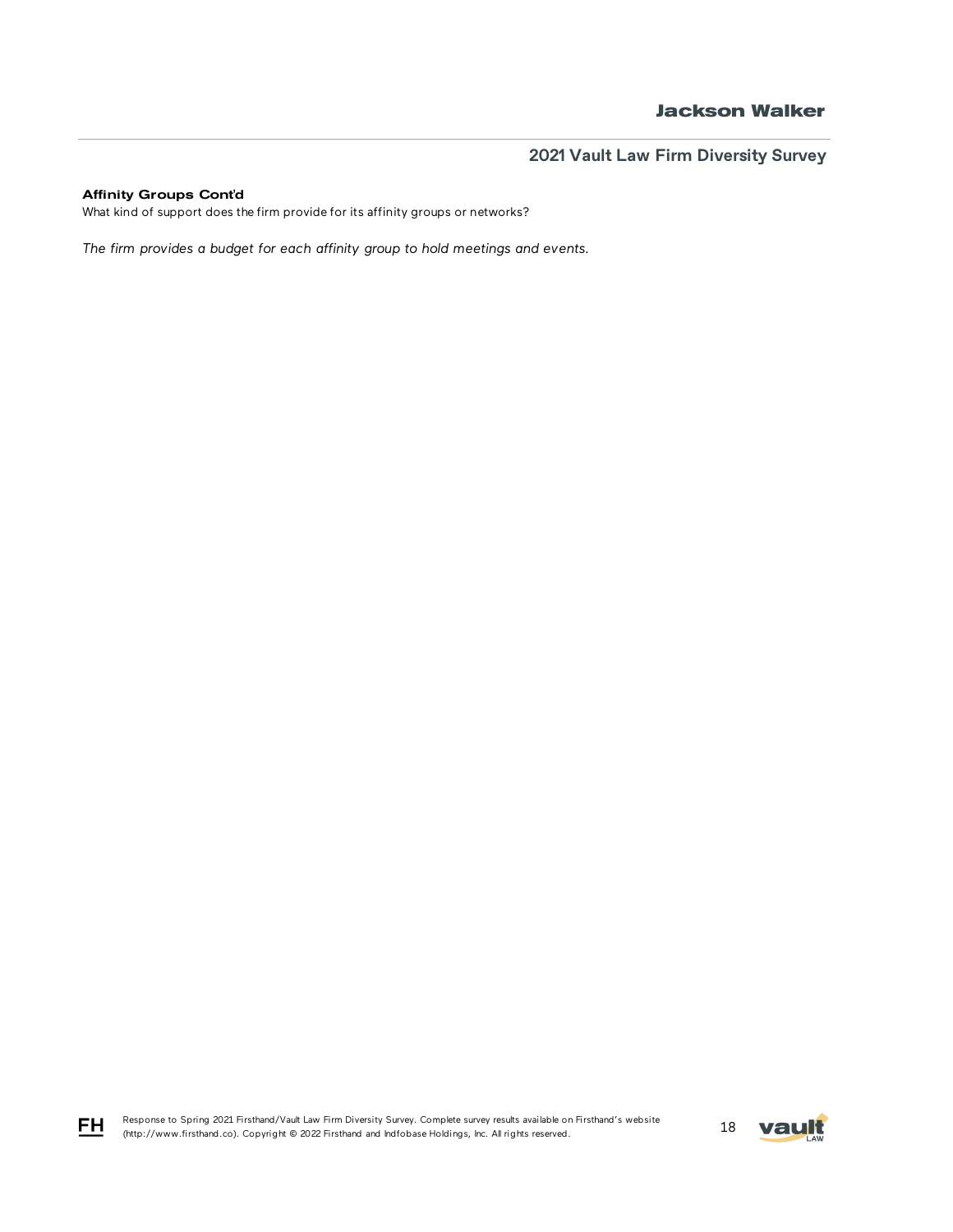### Affinity Groups Cont'd

FH

What kind of support does the firm provide for its affinity groups or networks?

*The firm provides a budget for each affinity group to hold meetings and events.* 

Response to Spring 2021 Firsthand/Vault Law Firm Diversity Survey. Complete survey results available on Firsthand's website Response to Spring 2021 Firstnand/vault Law Firm Diversity Survey. Complete survey results available on Firstnand's website<br>(http://www.firsthand.co). Copyright © 2022 Firsthand and Indfobase Holdings, Inc. All rights rese

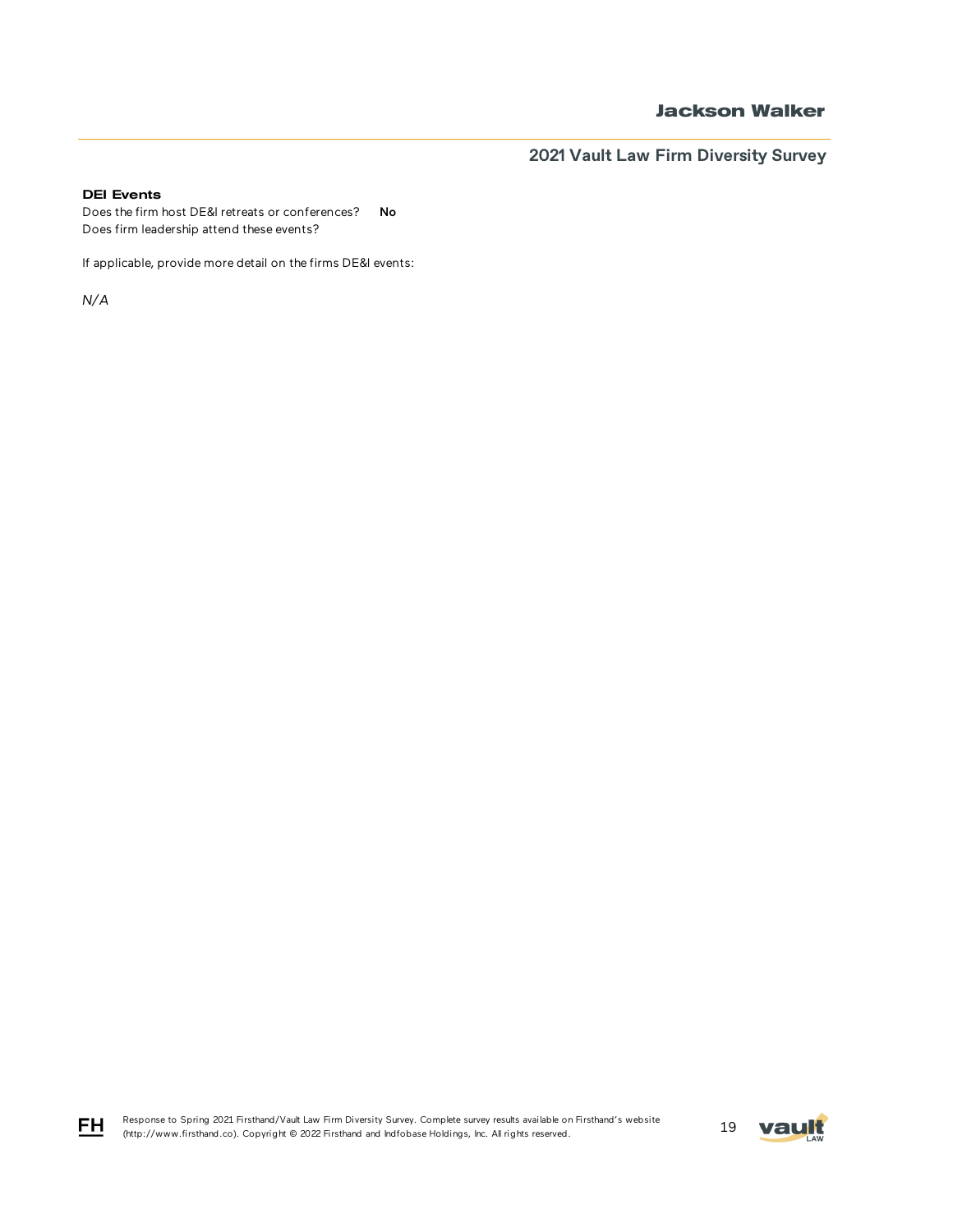## **Jackson Walker**

**2021 Vault Law Firm Diversity Survey**

### DEI Events

Does the firm host DE&I retreats or conferences? No Does firm leadership attend these events?

If applicable, provide more detail on the firms DE&I events:

*N/A*



$$
\underline{\mathsf{FH}}
$$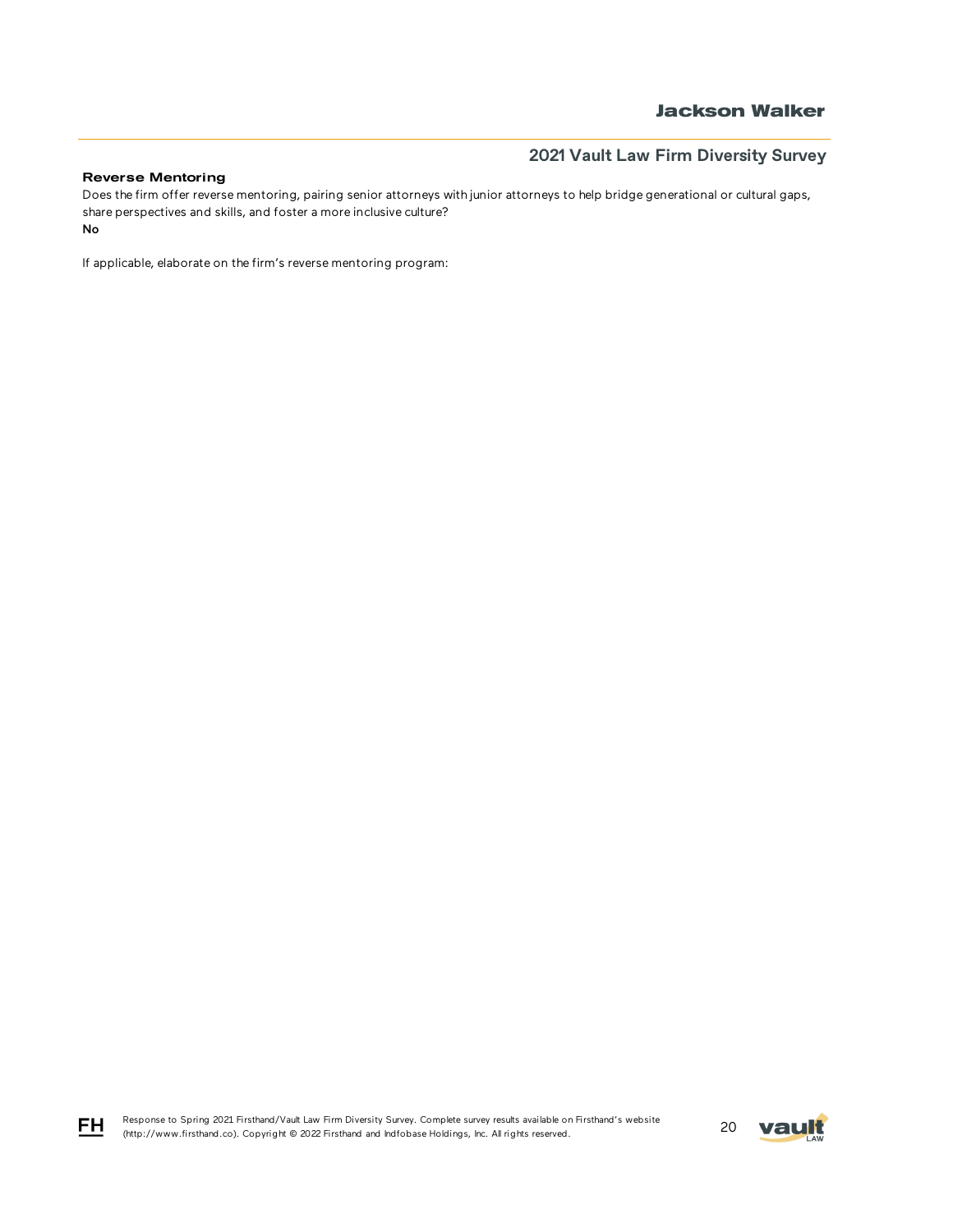### Reverse Mentoring

No Does the firm offer reverse mentoring, pairing senior attorneys with junior attorneys to help bridge generational or cultural gaps, share perspectives and skills, and foster a more inclusive culture?

If applicable, elaborate on the firm's reverse mentoring program:

Response to Spring 2021 Firsthand/Vault Law Firm Diversity Survey. Complete survey results available on Firsthand's website Response to Spring 2021 Firstnand/vault Law Firm Diversity Survey. Complete survey results available on Firstnand's website<br>(http://www.firsthand.co). Copyright © 2022 Firsthand and Indfobase Holdings, Inc. All rights rese



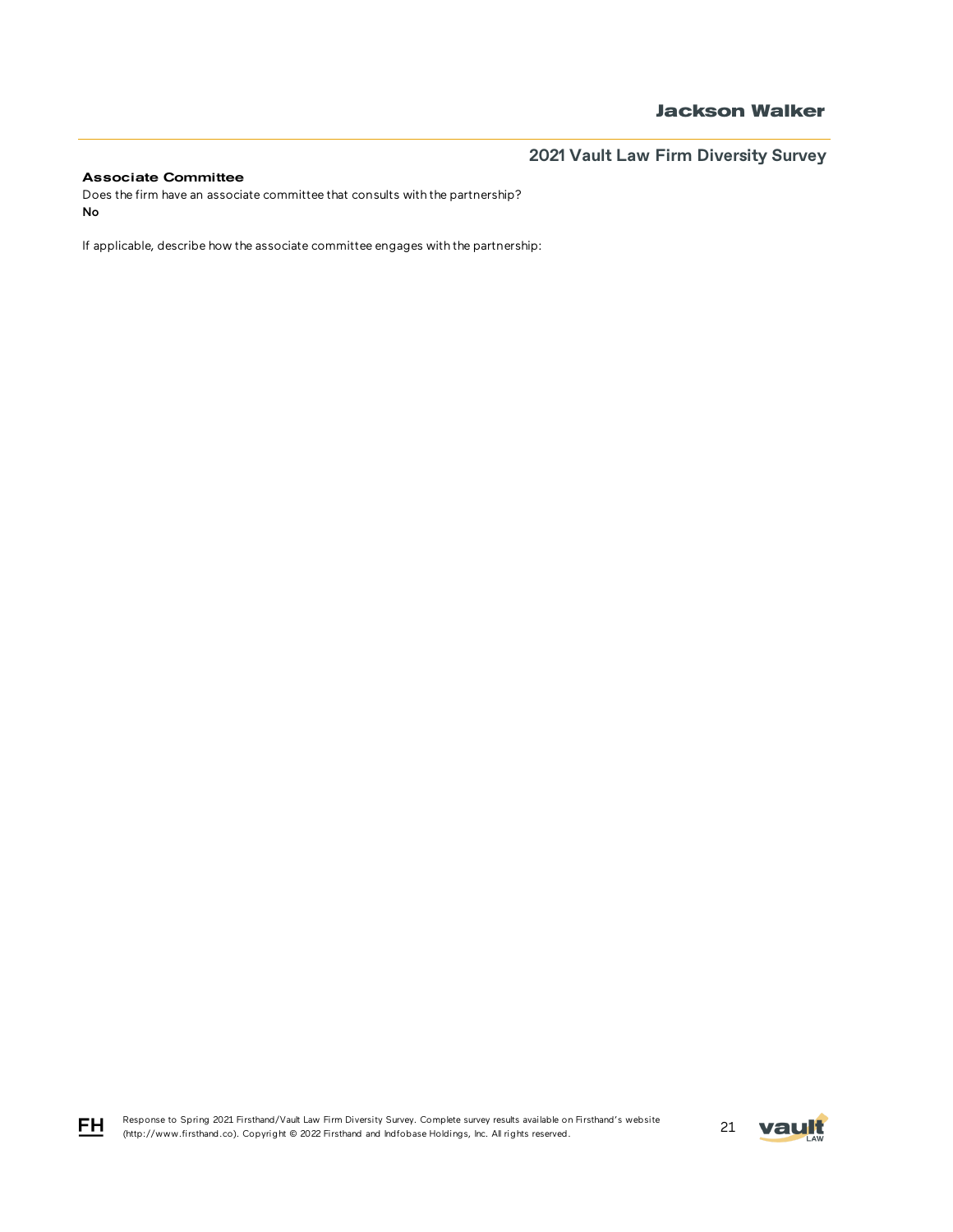### Associate Committee

Does the firm have an associate committee that consults with the partnership? No

If applicable, describe how the associate committee engages with the partnership:

Response to Spring 2021 Firsthand/Vault Law Firm Diversity Survey. Complete survey results available on Firsthand's website Response to Spring 2021 Firsthand/Vault Law Firm Diversity Survey. Complete survey results available on Firsthand's Website<br>21 May 1.1 (http://www.firsthand.co). Copyright © 2022 Firsthand and Indfobase Holdings, Inc. All



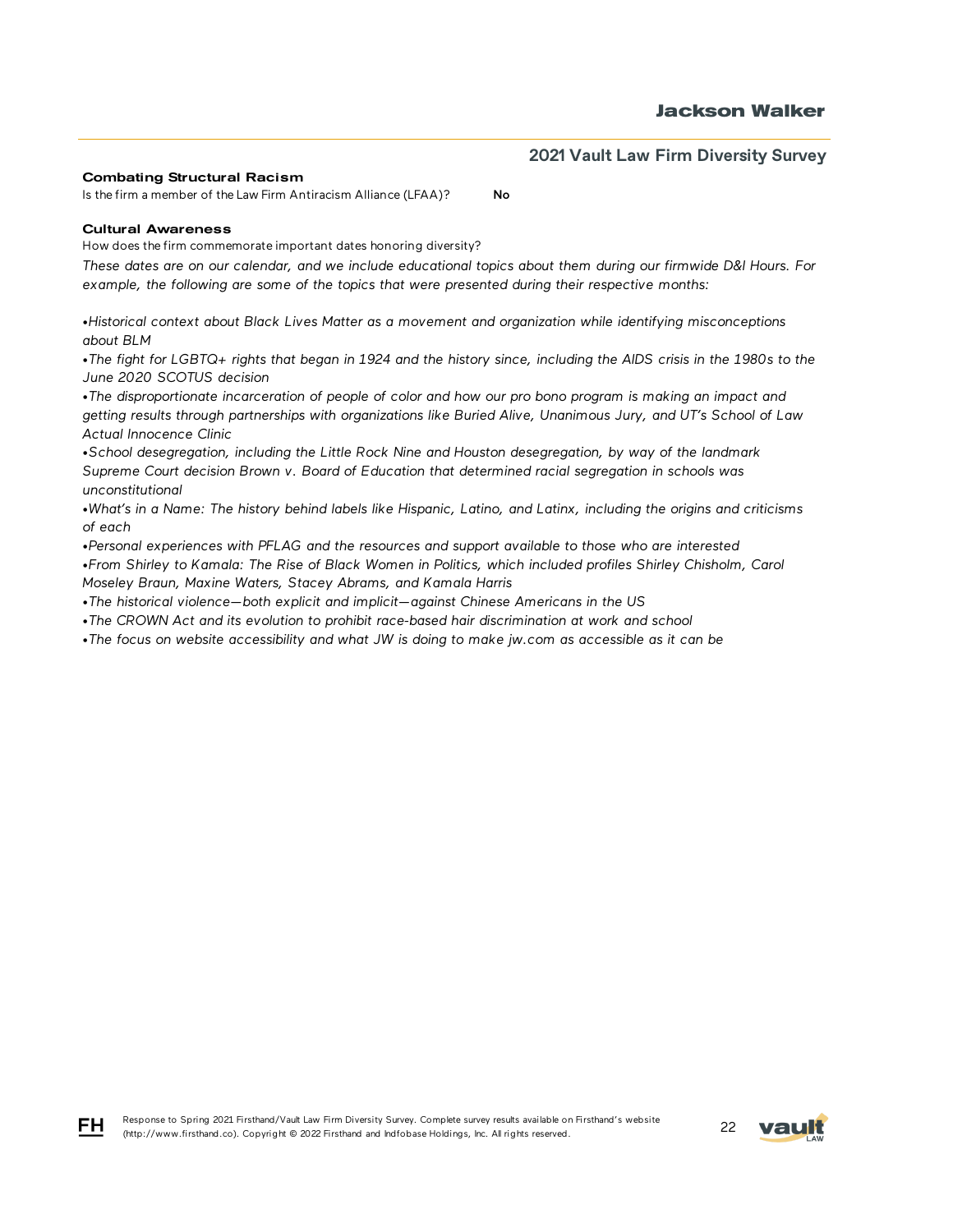#### Combating Structural Racism

Is the firm a member of the Law Firm Antiracism Alliance (LFAA)? No

#### Cultural Awareness

How does the firm commemorate important dates honoring diversity?

*These dates are on our calendar, and we include educational topics about them during our firmwide D&I Hours. For example, the following are some of the topics that were presented during their respective months:*

*•Historical context about Black Lives Matter as a movement and organization while identifying misconceptions about BLM*

*•The fight for LGBTQ+ rights that began in 1924 and the history since, including the AIDS crisis in the 1980s to the June 2020 SCOTUS decision*

*•The disproportionate incarceration of people of color and how our pro bono program is making an impact and getting results through partnerships with organizations like Buried Alive, Unanimous Jury, and UT's School of Law Actual Innocence Clinic*

*•School desegregation, including the Little Rock Nine and Houston desegregation, by way of the landmark Supreme Court decision Brown v. Board of Education that determined racial segregation in schools was unconstitutional*

*•What's in a Name: The history behind labels like Hispanic, Latino, and Latinx, including the origins and criticisms of each*

*•Personal experiences with PFLAG and the resources and support available to those who are interested •From Shirley to Kamala: The Rise of Black Women in Politics, which included profiles Shirley Chisholm, Carol Moseley Braun, Maxine Waters, Stacey Abrams, and Kamala Harris*

*•The historical violence—both explicit and implicit—against Chinese Americans in the US*

*•The CROWN Act and its evolution to prohibit race-based hair discrimination at work and school*

*•The focus on website accessibility and what JW is doing to make jw.com as accessible as it can be*



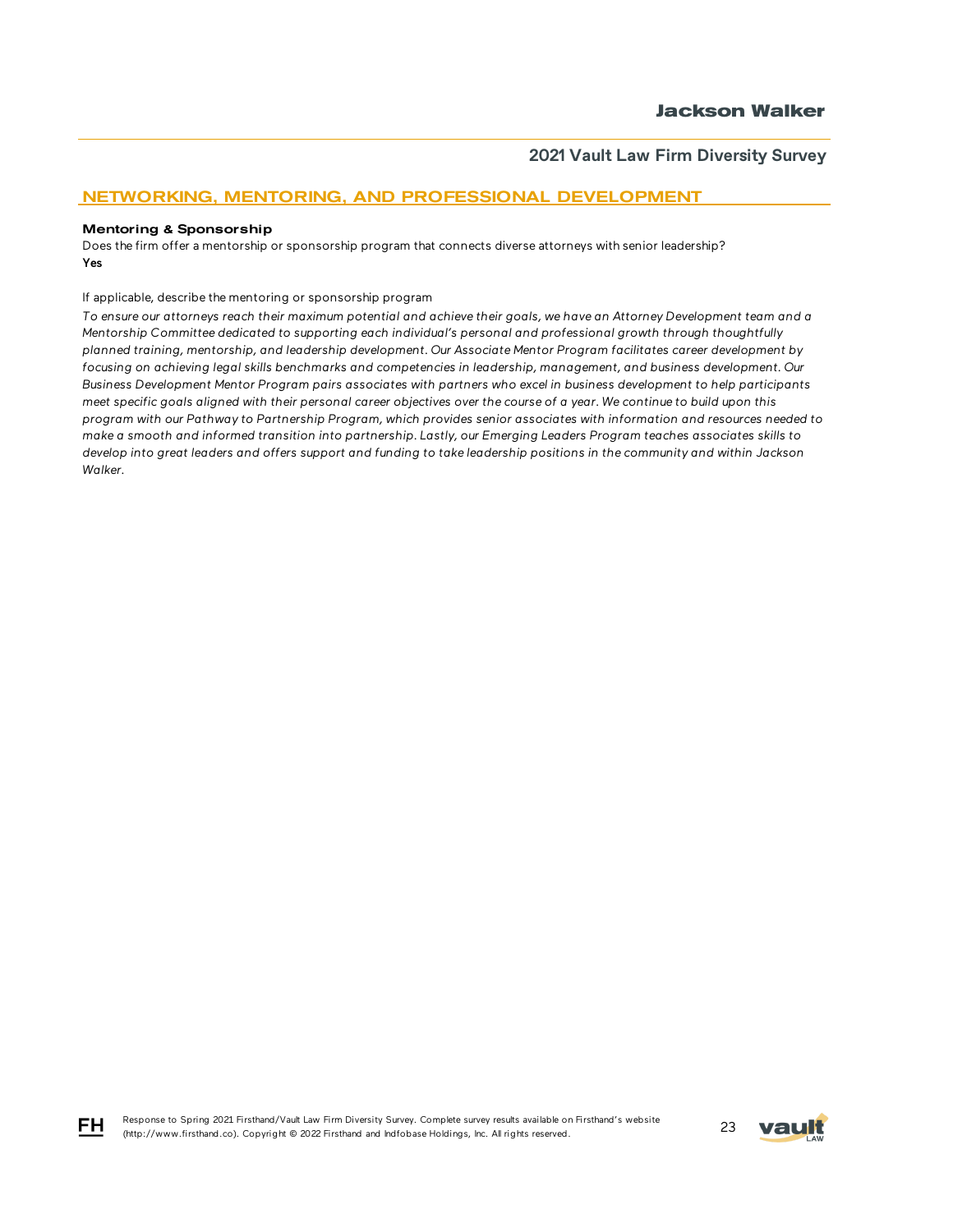## NETWORKING, MENTORING, AND PROFESSIONAL DEVELOPMENT

#### Mentoring & Sponsorship

Does the firm offer a mentorship or sponsorship program that connects diverse attorneys with senior leadership? Yes

If applicable, describe the mentoring or sponsorship program

*To ensure our attorneys reach their maximum potential and achieve their goals, we have an Attorney Development team and a Mentorship Committee dedicated to supporting each individual's personal and professional growth through thoughtfully planned training, mentorship, and leadership development. Our Associate Mentor Program facilitates career development by focusing on achieving legal skills benchmarks and competencies in leadership, management, and business development. Our Business Development Mentor Program pairs associates with partners who excel in business development to help participants meet specific goals aligned with their personal career objectives over the course of a year. We continue to build upon this program with our Pathway to Partnership Program, which provides senior associates with information and resources needed to make a smooth and informed transition into partnership. Lastly, our Emerging Leaders Program teaches associates skills to develop into great leaders and offers support and funding to take leadership positions in the community and within Jackson Walker.*



FH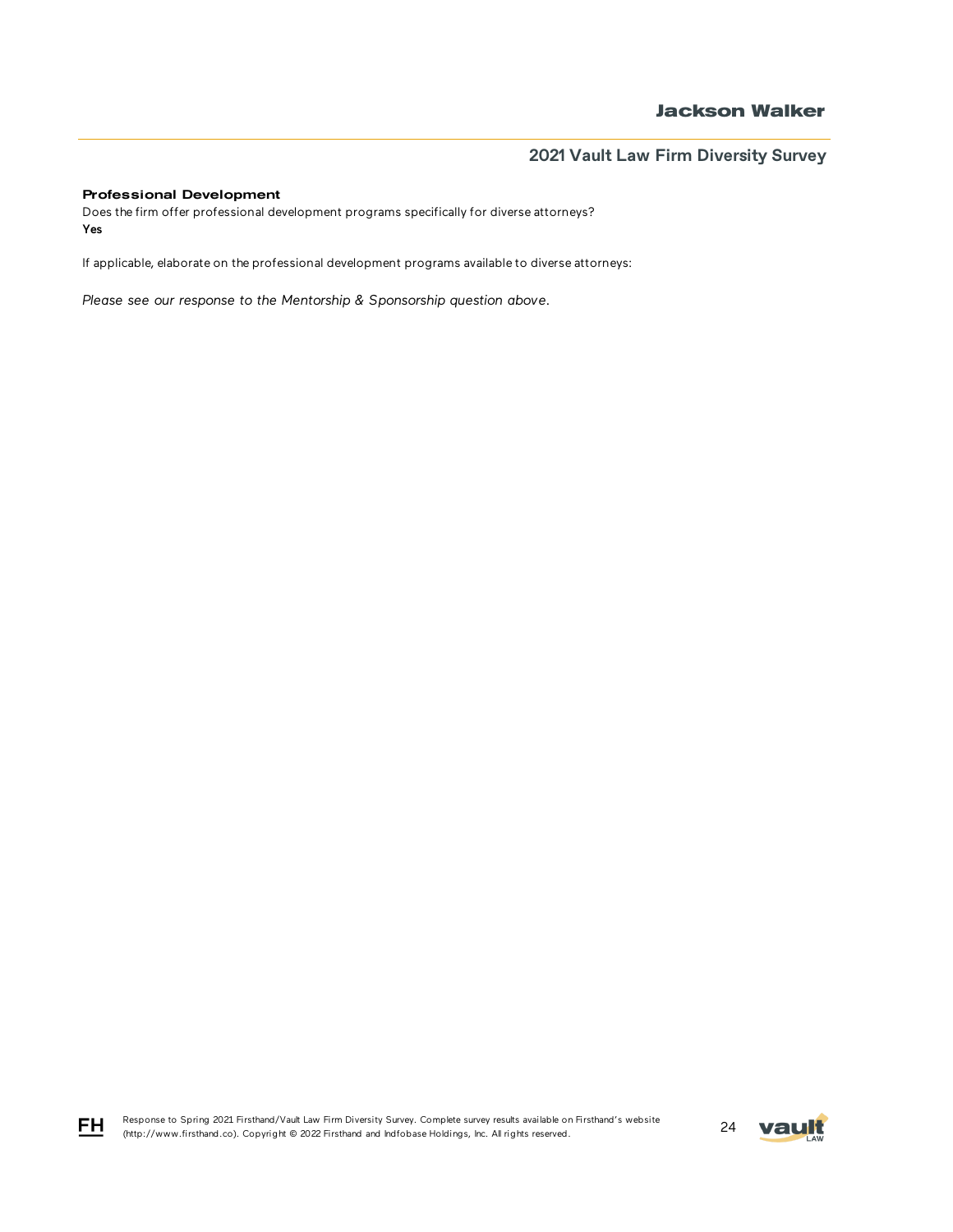### Professional Development

Does the firm offer professional development programs specifically for diverse attorneys? Yes

If applicable, elaborate on the professional development programs available to diverse attorneys:

*Please see our response to the Mentorship & Sponsorship question above.* 

Response to Spring 2021 Firsthand/Vault Law Firm Diversity Survey. Complete survey results available on Firsthand's website Response to Spring 2021 Firsthand/Vault Law Firm Diversity Survey. Complete survey results available on Firsthand's website<br>(http://www.firsthand.co). Copyright © 2022 Firsthand and Indfobase Holdings, Inc. All rights rese



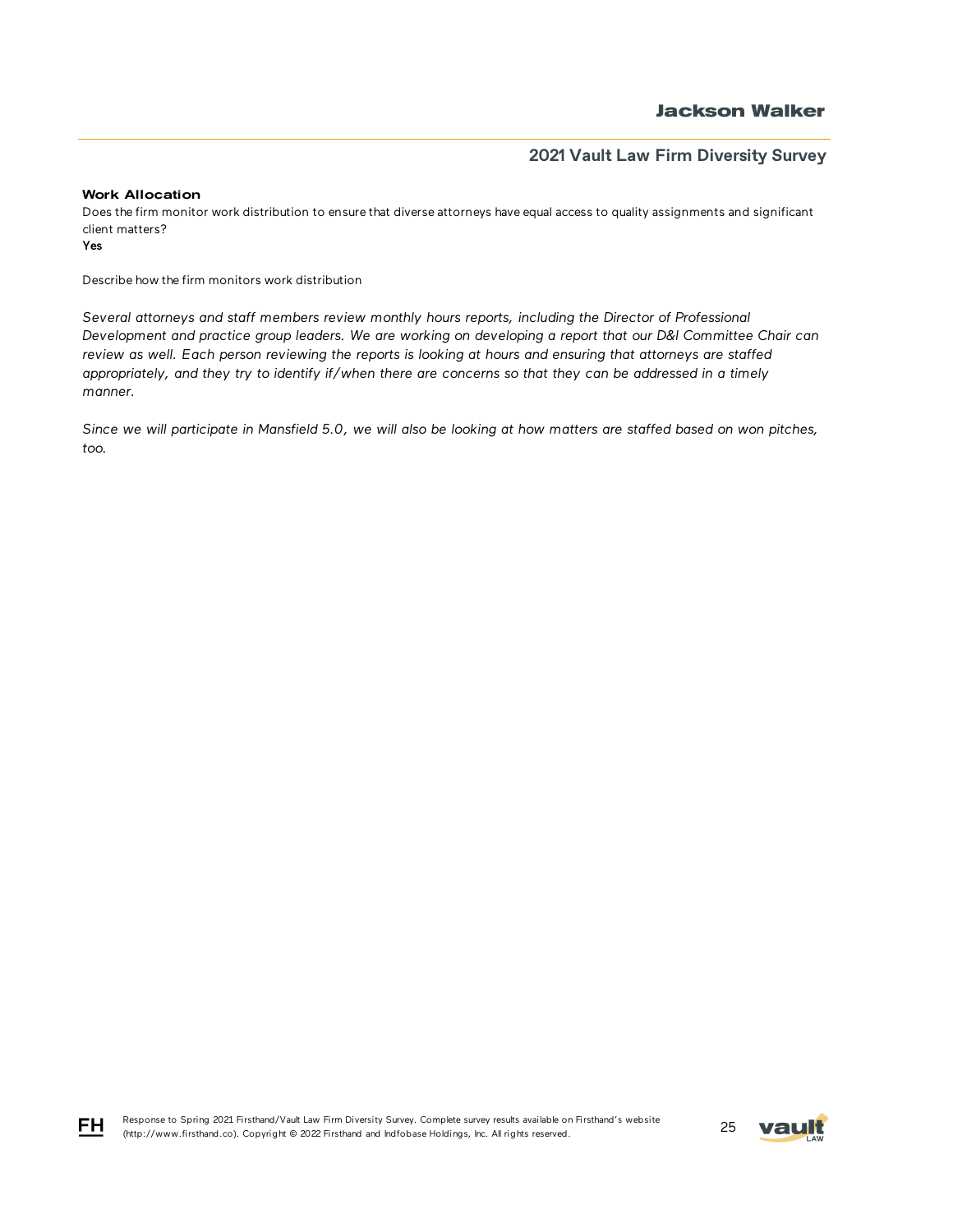## **Jackson Walker**

## **2021 Vault Law Firm Diversity Survey**

### Work Allocation

Does the firm monitor work distribution to ensure that diverse attorneys have equal access to quality assignments and significant client matters?

Yes

Describe how the firm monitors work distribution

*Several attorneys and staff members review monthly hours reports, including the Director of Professional Development and practice group leaders. We are working on developing a report that our D&I Committee Chair can review as well. Each person reviewing the reports is looking at hours and ensuring that attorneys are staffed appropriately, and they try to identify if/when there are concerns so that they can be addressed in a timely manner.* 

*Since we will participate in Mansfield 5.0, we will also be looking at how matters are staffed based on won pitches, too.*



FH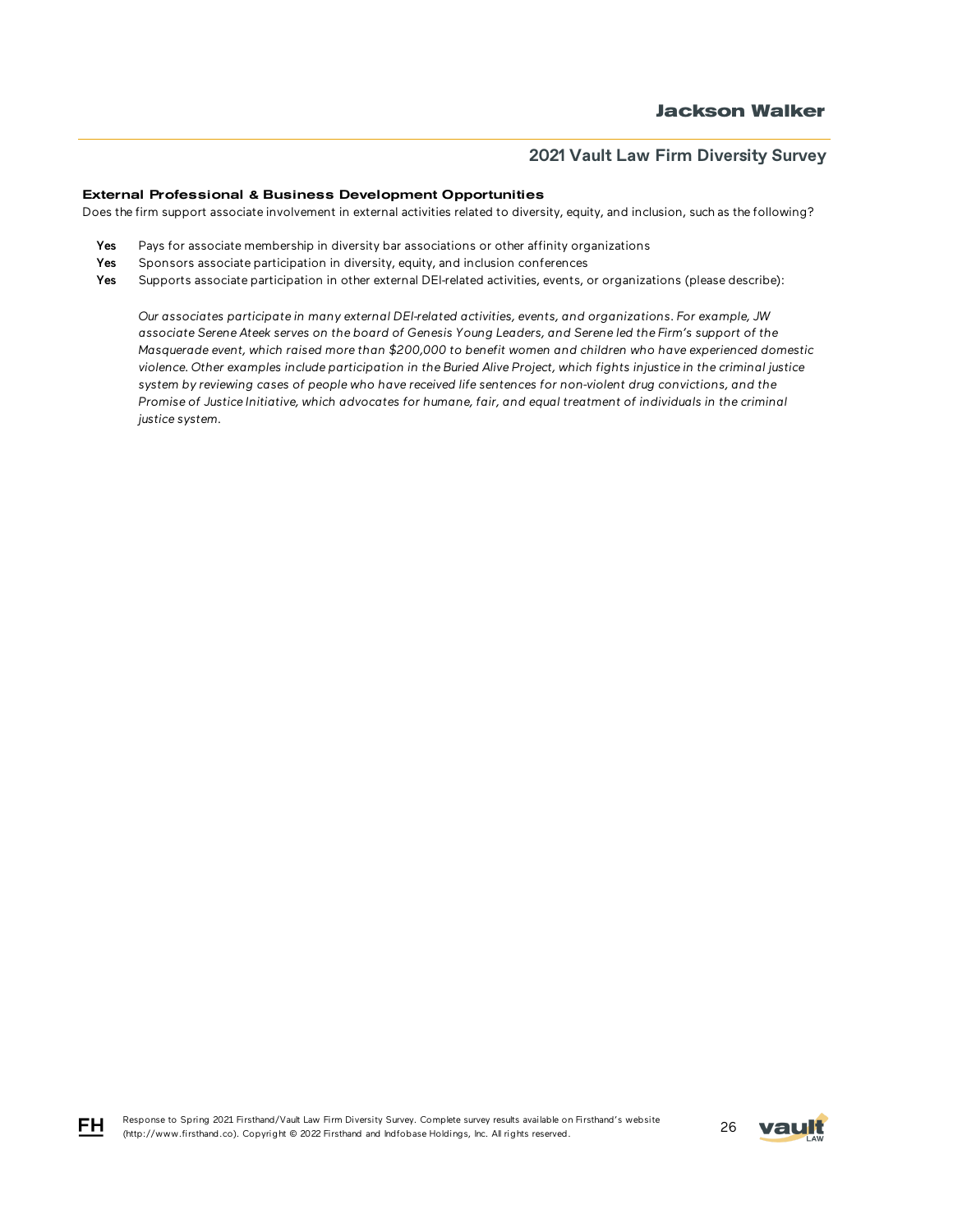### External Professional & Business Development Opportunities

Does the firm support associate involvement in external activities related to diversity, equity, and inclusion, such as the following?

- Yes Pays for associate membership in diversity bar associations or other affinity organizations
- Yes Sponsors associate participation in diversity, equity, and inclusion conferences
- Yes Supports associate participation in other external DEI-related activities, events, or organizations (please describe):

*Our associates participate in many external DEI-related activities, events, and organizations. For example, JW associate Serene Ateek serves on the board of Genesis Young Leaders, and Serene led the Firm's support of the Masquerade event, which raised more than \$200,000 to benefit women and children who have experienced domestic violence. Other examples include participation in the Buried Alive Project, which fights injustice in the criminal justice system by reviewing cases of people who have received life sentences for non-violent drug convictions, and the Promise of Justice Initiative, which advocates for humane, fair, and equal treatment of individuals in the criminal justice system.*

FH.

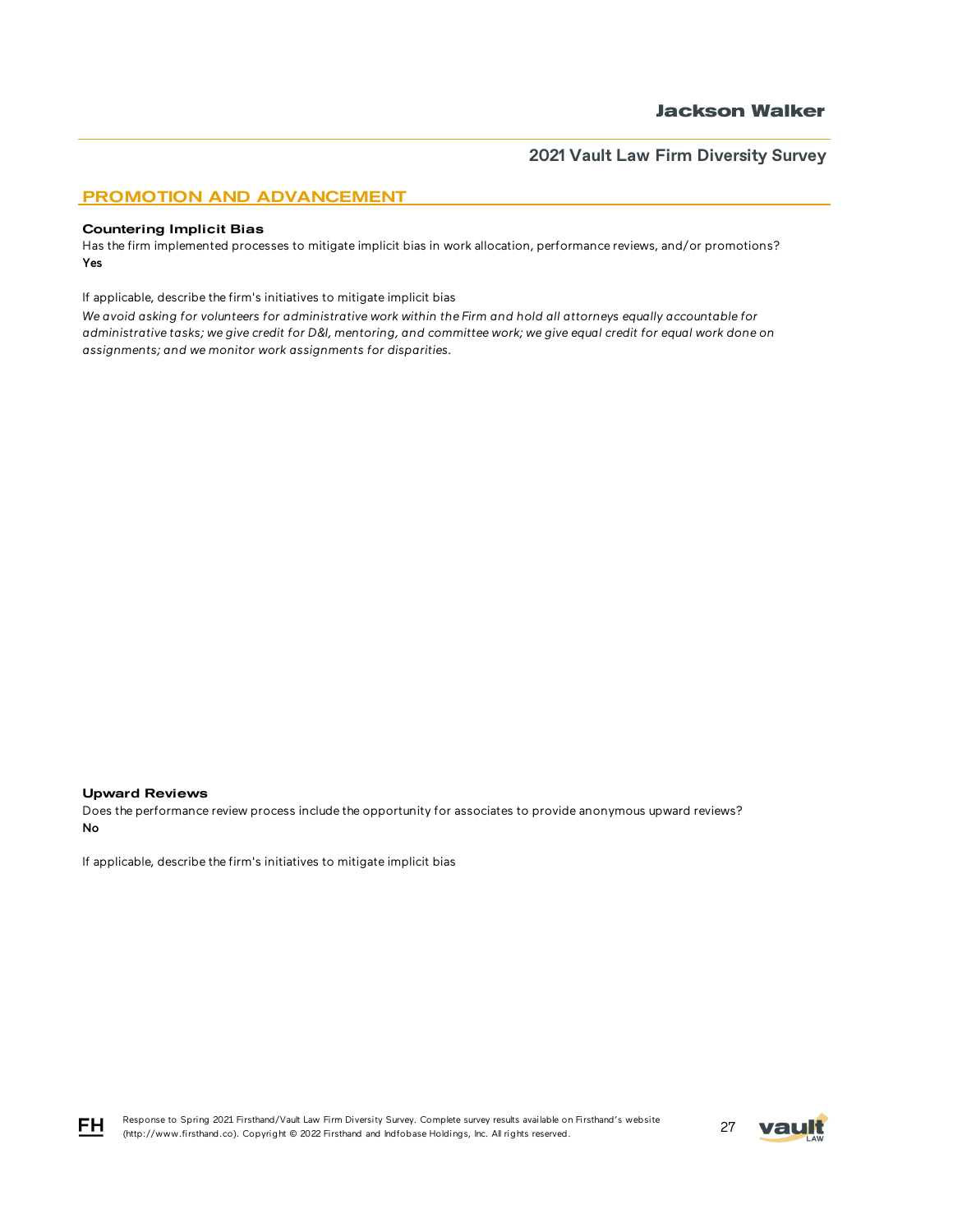### PROMOTION AND ADVANCEMENT

#### Countering Implicit Bias

Has the firm implemented processes to mitigate implicit bias in work allocation, performance reviews, and/or promotions? Yes

If applicable, describe the firm's initiatives to mitigate implicit bias

*We avoid asking for volunteers for administrative work within the Firm and hold all attorneys equally accountable for administrative tasks; we give credit for D&I, mentoring, and committee work; we give equal credit for equal work done on assignments; and we monitor work assignments for disparities.*

#### Upward Reviews

Does the performance review process include the opportunity for associates to provide anonymous upward reviews? No

If applicable, describe the firm's initiatives to mitigate implicit bias



FH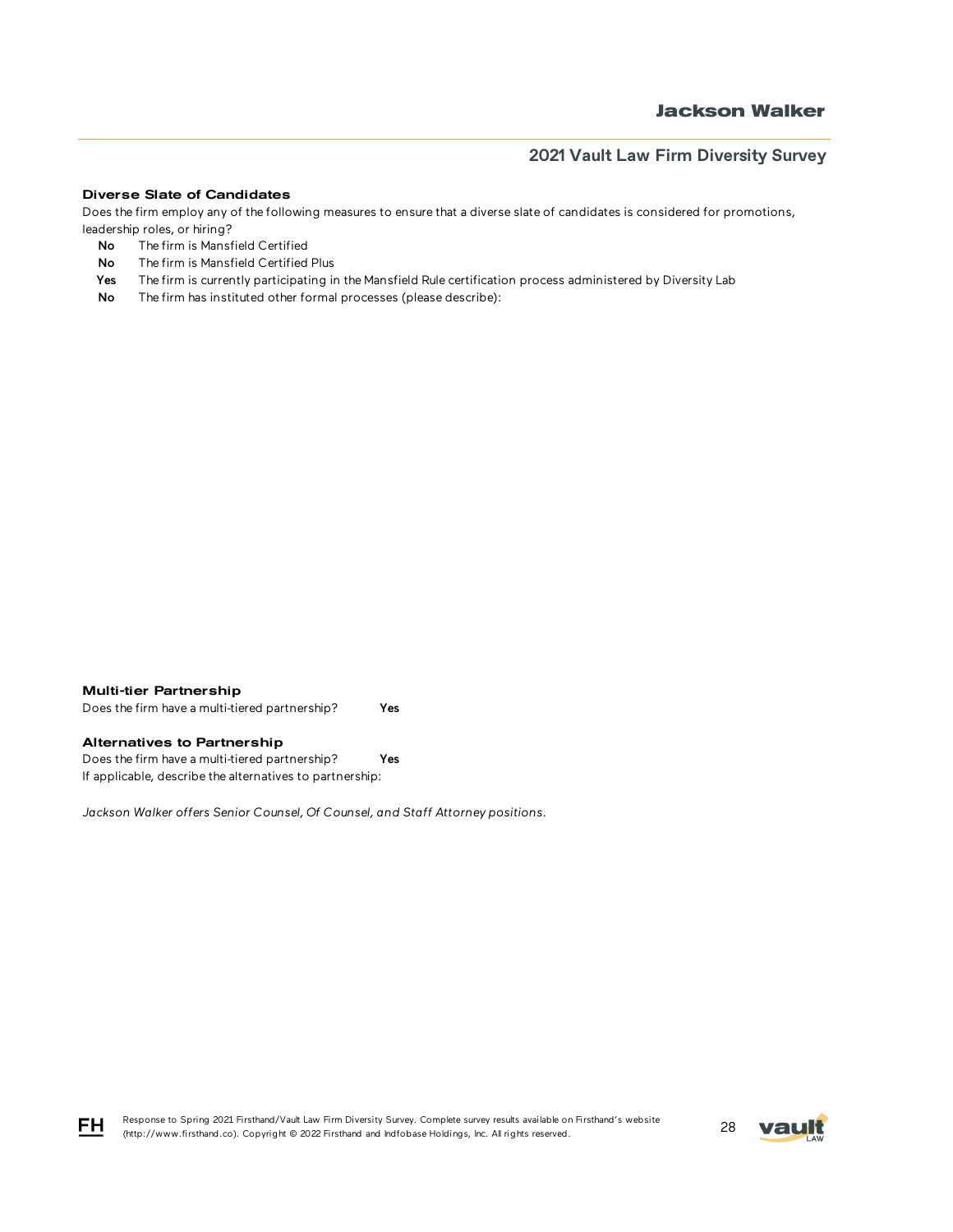#### Diverse Slate of Candidates

Does the firm employ any of the following measures to ensure that a diverse slate of candidates is considered for promotions, leadership roles, or hiring?

- No The firm is Mansfield Certified
- No The firm is Mansfield Certified Plus
- Yes The firm is currently participating in the Mansfield Rule certification process administered by Diversity Lab
- No The firm has instituted other formal processes (please describe):

#### Multi-tier Partnership

Does the firm have a multi-tiered partnership? Yes

### Alternatives to Partnership

Does the firm have a multi-tiered partnership? Yes If applicable, describe the alternatives to partnership:

*Jackson Walker offers Senior Counsel, Of Counsel, and Staff Attorney positions.*



Response to Spring 2021 Firsthand/Vault Law Firm Diversity Survey. Complete survey results available on Firsthand's website Response to Spring 2021 Firsthand/vault Law Firm Diversity Survey. Complete survey results available on Firsthand's website<br>(http://www.firsthand.co). Copyright © 2022 Firsthand and Indfobase Holdings, Inc. All rights rese

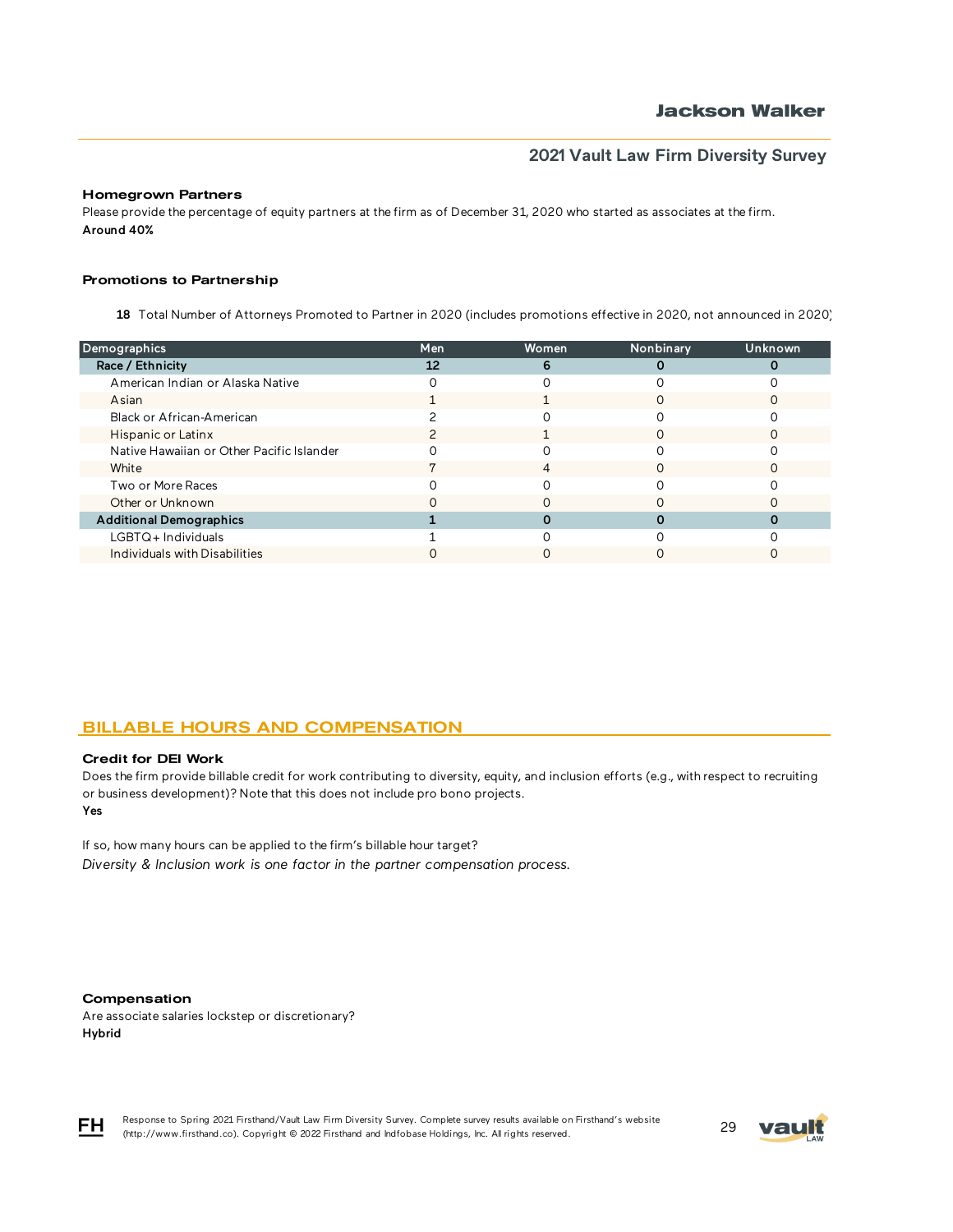### Homegrown Partners

Please provide the percentage of equity partners at the firm as of December 31, 2020 who started as associates at the firm. Around 40%

### Promotions to Partnership

18 Total Number of Attorneys Promoted to Partner in 2020 (includes promotions effective in 2020, not announced in 2020)

| Men | Women | Nonbinary | <b>Unknown</b> |
|-----|-------|-----------|----------------|
| 12  | 6     |           |                |
|     |       |           |                |
|     |       |           |                |
|     |       |           |                |
|     |       |           |                |
|     |       |           |                |
|     | 4     |           |                |
|     |       |           |                |
|     |       |           |                |
|     |       |           |                |
|     |       |           |                |
|     |       |           |                |
|     |       |           |                |

## BILLABLE HOURS AND COMPENSATION

#### Credit for DEI Work

Yes Does the firm provide billable credit for work contributing to diversity, equity, and inclusion efforts (e.g., with respect to recruiting or business development)? Note that this does not include pro bono projects.

If so, how many hours can be applied to the firm's billable hour target? *Diversity & Inclusion work is one factor in the partner compensation process.* 

#### Compensation

Are associate salaries lockstep or discretionary? Hybrid



Response to Spring 2021 Firsthand/Vault Law Firm Diversity Survey. Complete survey results available on Firsthand's website Response to Spring 2021 Firsthand/Vault Law Firm Diversity Survey. Complete survey results available on Firsthand's website<br>(http://www.firsthand.co). Copyright © 2022 Firsthand and Indfobase Holdings, Inc. All rights rese

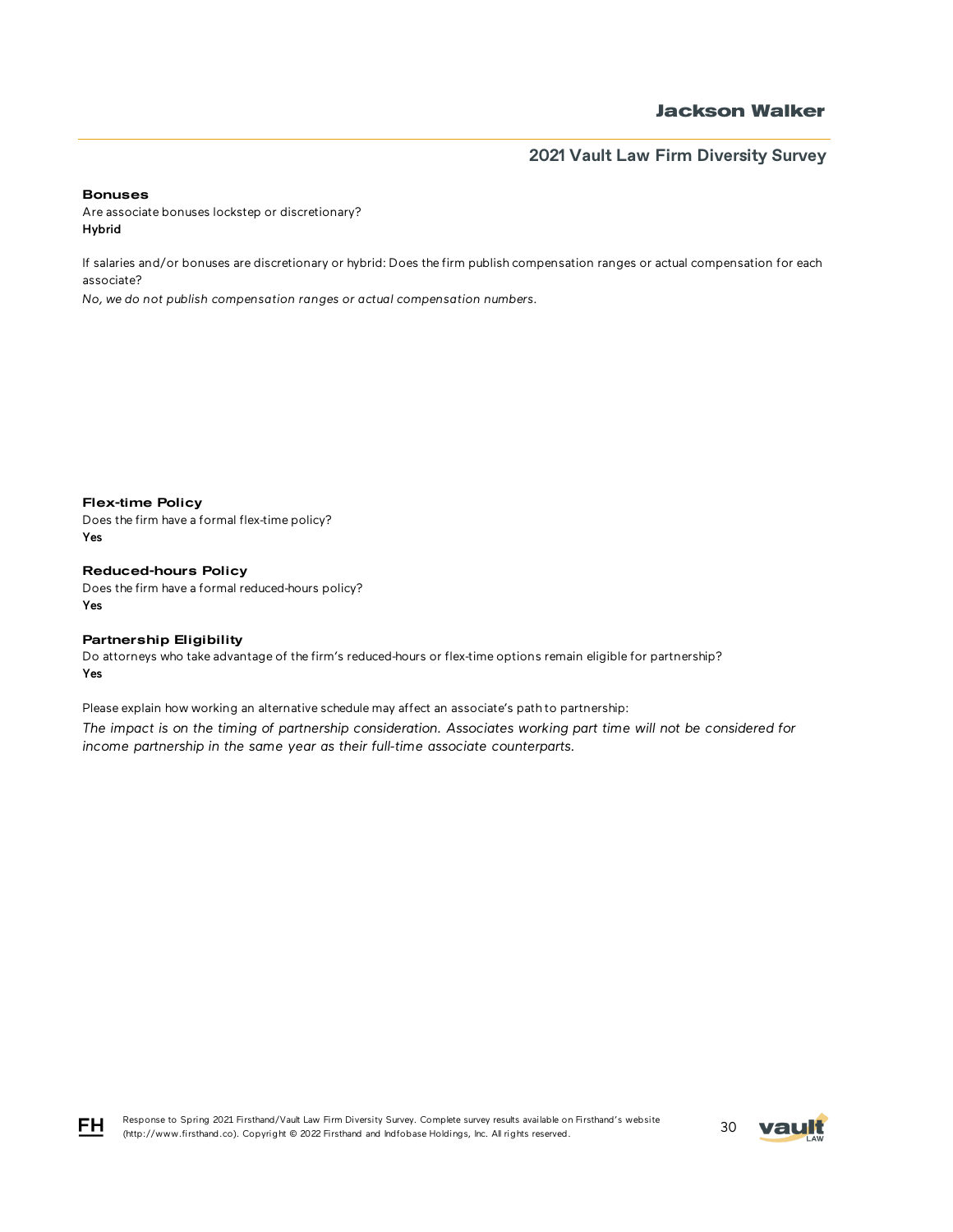#### Bonuses

Are associate bonuses lockstep or discretionary? Hybrid

If salaries and/or bonuses are discretionary or hybrid: Does the firm publish compensation ranges or actual compensation for each associate?

*No, we do not publish compensation ranges or actual compensation numbers.*

Flex-time Policy Does the firm have a formal flex-time policy? Yes

Reduced-hours Policy Does the firm have a formal reduced-hours policy? Yes

### Partnership Eligibility

Do attorneys who take advantage of the firm's reduced-hours or flex-time options remain eligible for partnership? Yes

Please explain how working an alternative schedule may affect an associate's path to partnership: *The impact is on the timing of partnership consideration. Associates working part time will not be considered for* 

*income partnership in the same year as their full-time associate counterparts.*

Response to Spring 2021 Firsthand/Vault Law Firm Diversity Survey. Complete survey results available on Firsthand's website (http://www.firsthand.co). Copyright © 2022 Firsthand and Indfobase Holdings, Inc. All rights reserved. 30



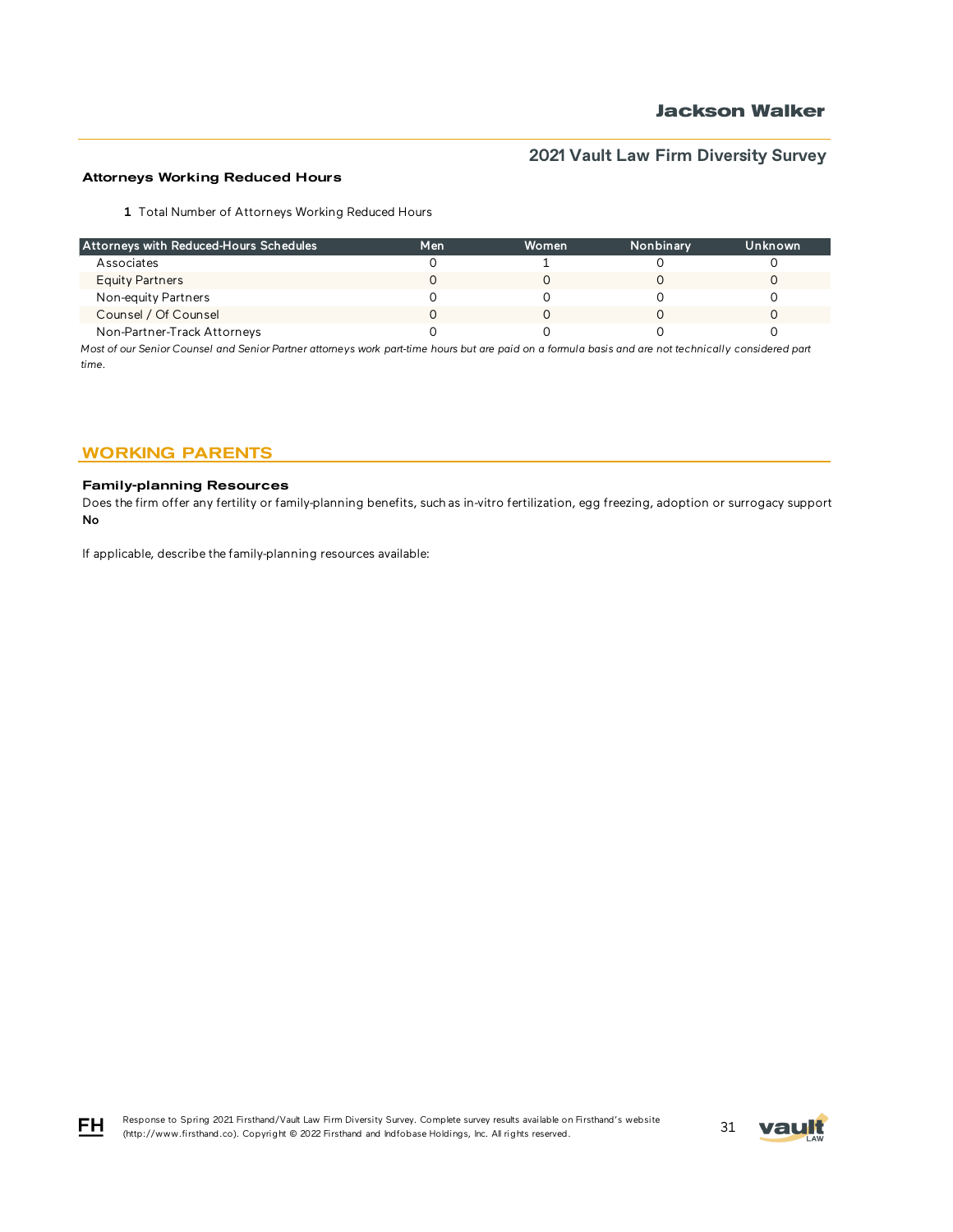### Attorneys Working Reduced Hours

1 Total Number of Attorneys Working Reduced Hours

| Attorneys with Reduced-Hours Schedules | Men | Women | Nonbinary | Unknown |
|----------------------------------------|-----|-------|-----------|---------|
| Associates                             |     |       |           |         |
| Equity Partners                        |     |       |           |         |
| Non-equity Partners                    |     |       |           |         |
| Counsel / Of Counsel                   |     |       |           |         |
| Non-Partner-Track Attorneys            |     |       |           |         |

*Most of our Senior Counsel and Senior Partner attorneys work part-time hours but are paid on a formula basis and are not technically considered part time.* 

## WORKING PARENTS

### Family-planning Resources

FH

Does the firm offer any fertility or family-planning benefits, such as in-vitro fertilization, egg freezing, adoption or surrogacy support? No

If applicable, describe the family-planning resources available:

Response to Spring 2021 Firsthand/Vault Law Firm Diversity Survey. Complete survey results available on Firsthand's website (http://www.firsthand.co). Copyright © 2022 Firsthand and Indfobase Holdings, Inc. All rights reserved. 31

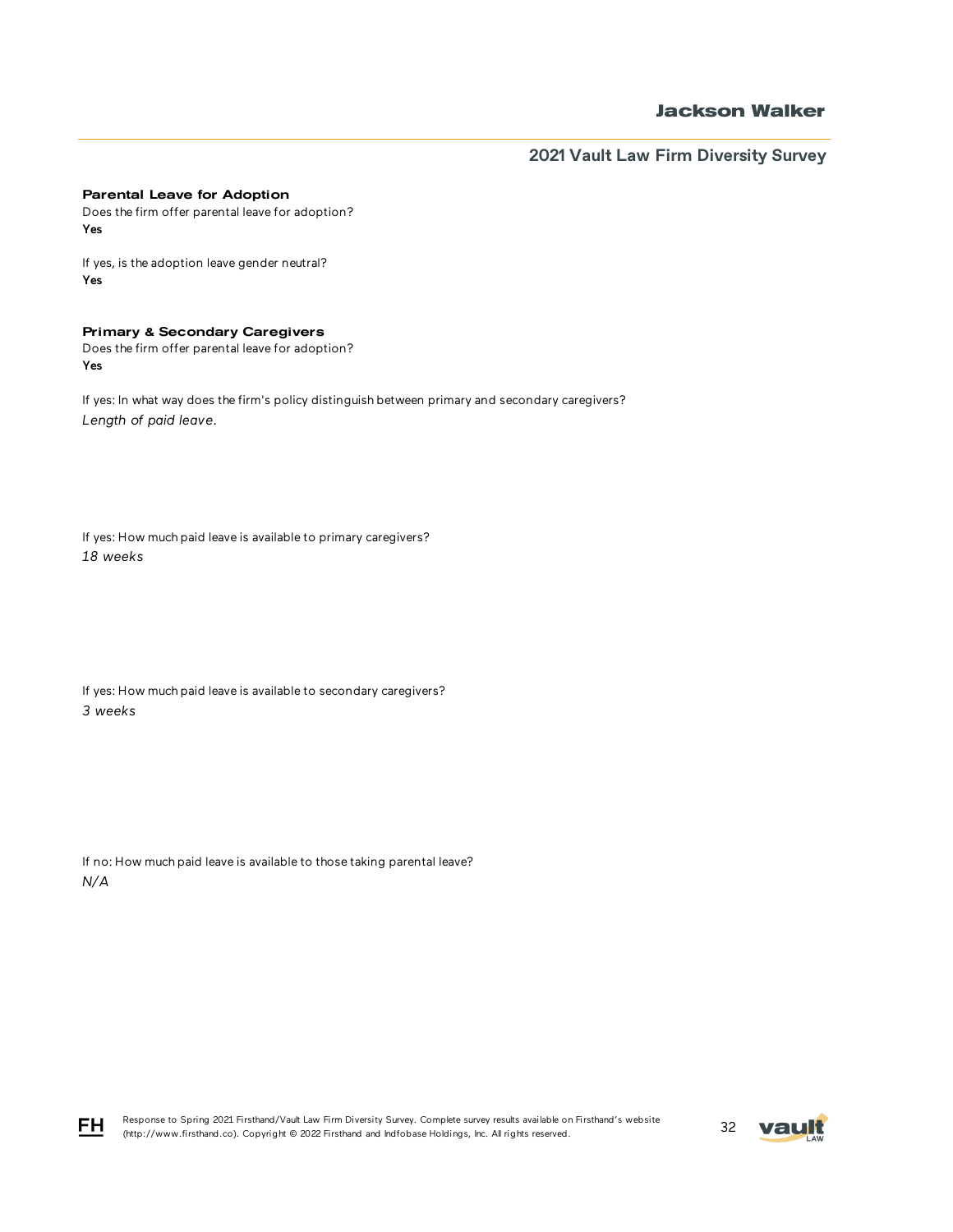### **Jackson Walker**

**2021 Vault Law Firm Diversity Survey**

### Parental Leave for Adoption

Does the firm offer parental leave for adoption? Yes

If yes, is the adoption leave gender neutral? Yes

### Primary & Secondary Caregivers

Does the firm offer parental leave for adoption? Yes

If yes: In what way does the firm's policy distinguish between primary and secondary caregivers? *Length of paid leave.*

If yes: How much paid leave is available to primary caregivers? *18 weeks*

If yes: How much paid leave is available to secondary caregivers? *3 weeks*

If no: How much paid leave is available to those taking parental leave? *N/A*



FH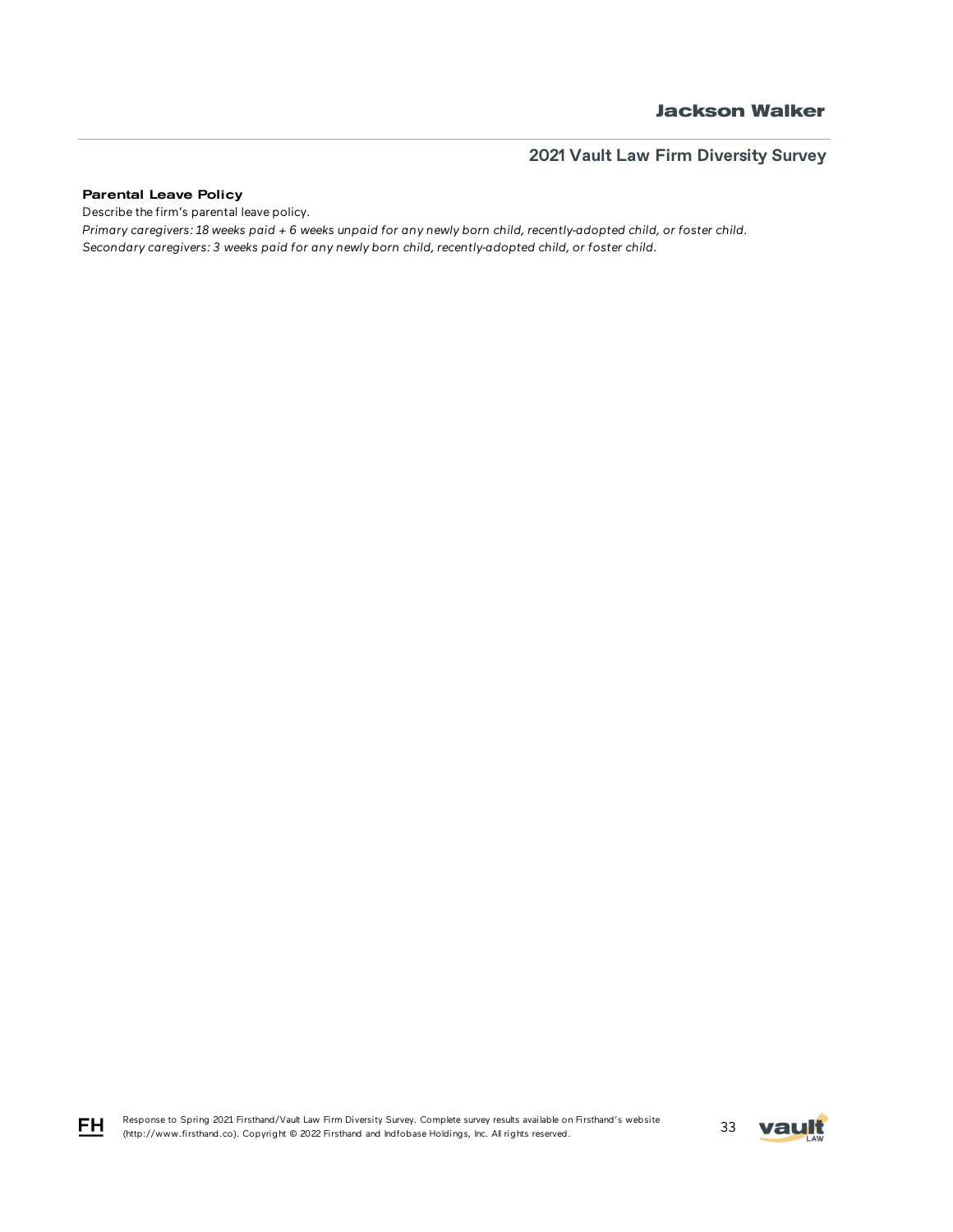### Parental Leave Policy

FH

Describe the firm's parental leave policy.

*Primary caregivers: 18 weeks paid + 6 weeks unpaid for any newly born child, recently-adopted child, or foster child. Secondary caregivers: 3 weeks paid for any newly born child, recently-adopted child, or foster child.*

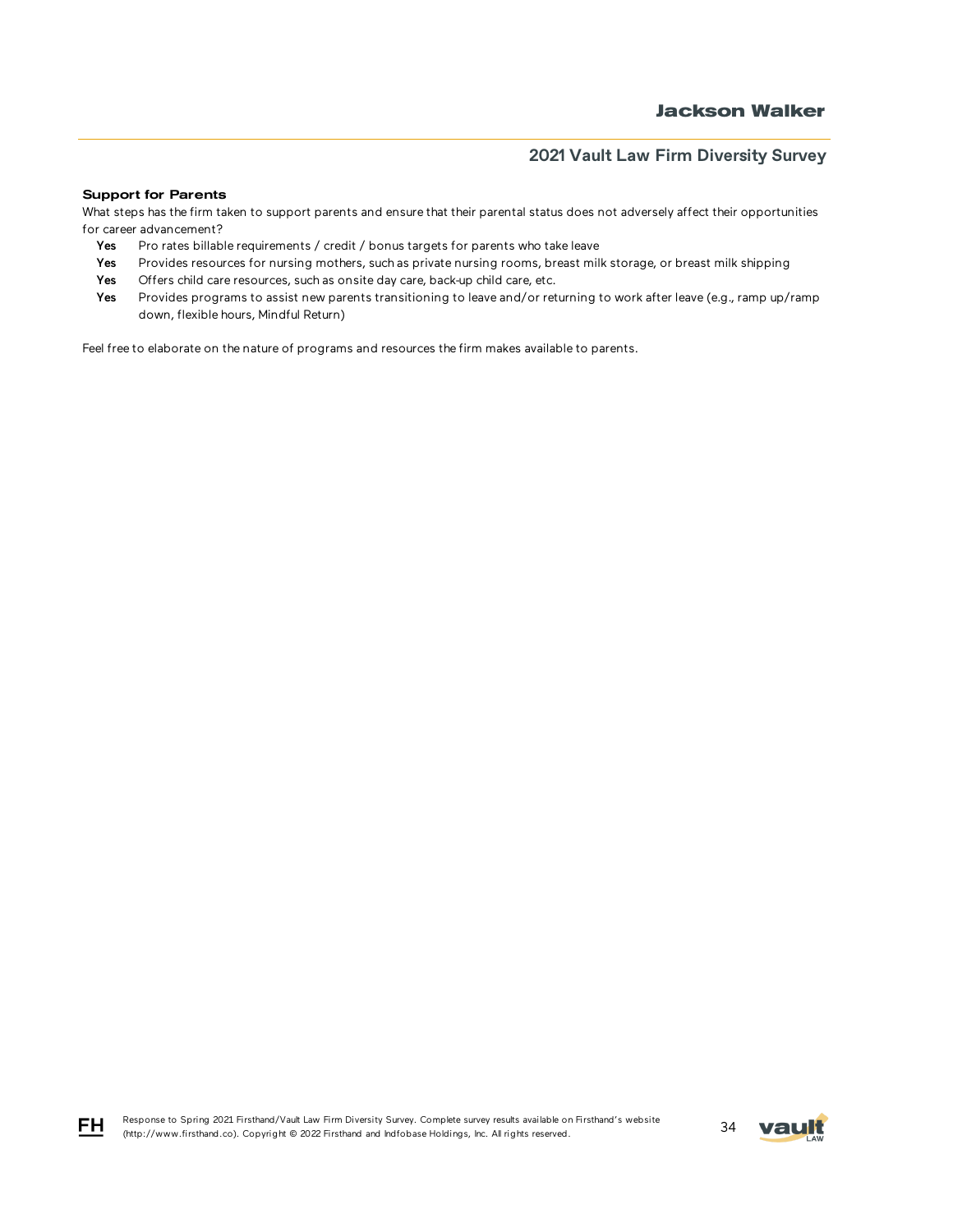### Support for Parents

What steps has the firm taken to support parents and ensure that their parental status does not adversely affect their opportunities for career advancement?

- Yes Pro rates billable requirements / credit / bonus targets for parents who take leave
- Yes Provides resources for nursing mothers, such as private nursing rooms, breast milk storage, or breast milk shipping
- Yes Offers child care resources, such as onsite day care, back-up child care, etc.
- Yes Provides programs to assist new parents transitioning to leave and/or returning to work after leave (e.g., ramp up/ramp down, flexible hours, Mindful Return)

Feel free to elaborate on the nature of programs and resources the firm makes available to parents.





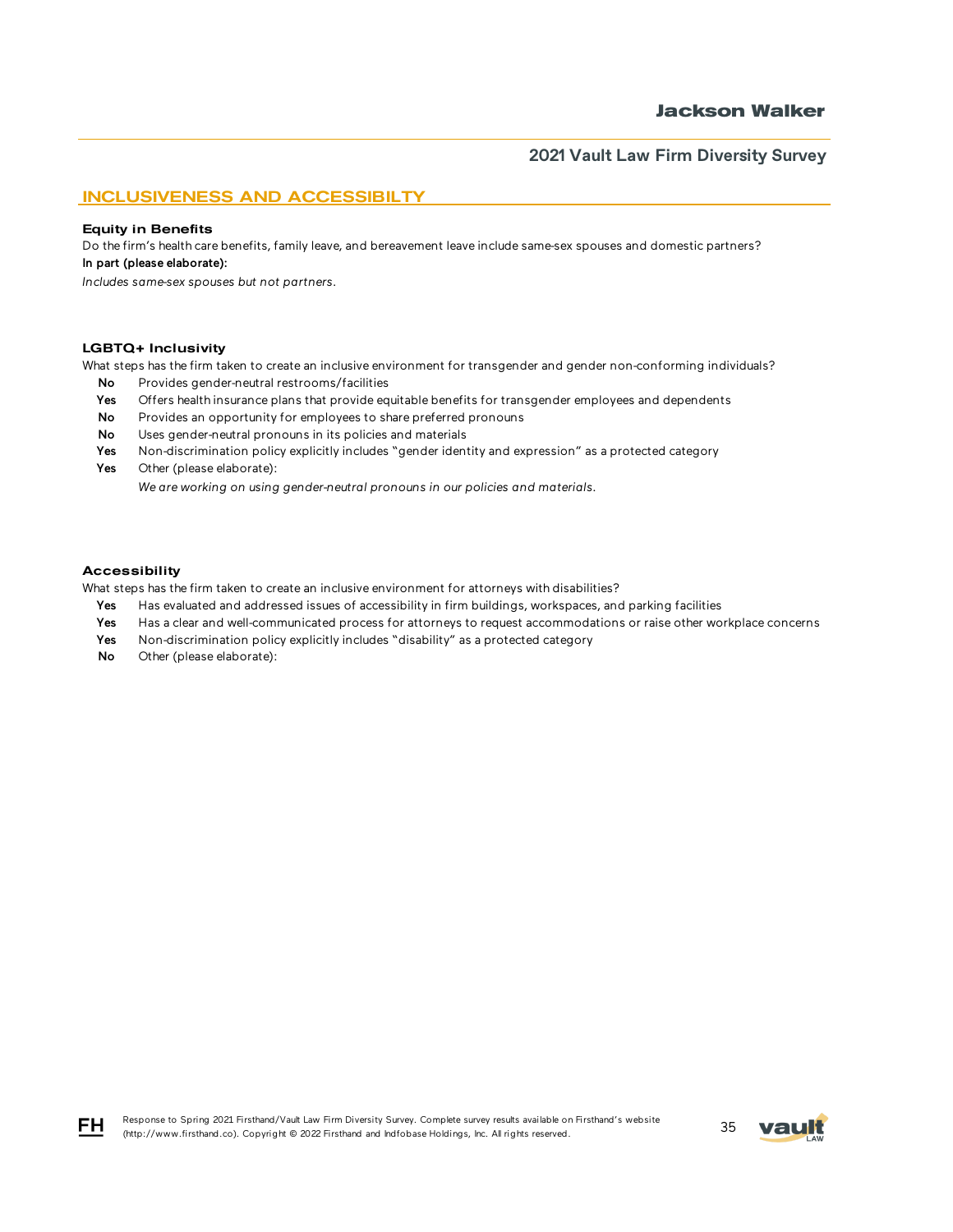### INCLUSIVENESS AND ACCESSIBILTY

#### Equity in Benefits

Do the firm's health care benefits, family leave, and bereavement leave include same-sex spouses and domestic partners? In part (please elaborate):

*Includes same-sex spouses but not partners.*

#### LGBTQ+ Inclusivity

What steps has the firm taken to create an inclusive environment for transgender and gender non-conforming individuals?

- No Provides gender-neutral restrooms/facilities
- Yes Offers health insurance plans that provide equitable benefits for transgender employees and dependents
- No Provides an opportunity for employees to share preferred pronouns
- No Uses gender-neutral pronouns in its policies and materials
- Yes Non-discrimination policy explicitly includes "gender identity and expression" as a protected category
- Yes Other (please elaborate):

*We are working on using gender-neutral pronouns in our policies and materials.*

#### Accessibility

What steps has the firm taken to create an inclusive environment for attorneys with disabilities?

- Yes Has evaluated and addressed issues of accessibility in firm buildings, workspaces, and parking facilities
- Yes Has a clear and well-communicated process for attorneys to request accommodations or raise other workplace concerns
- Yes Non-discrimination policy explicitly includes "disability" as a protected category
- No Other (please elaborate):



FH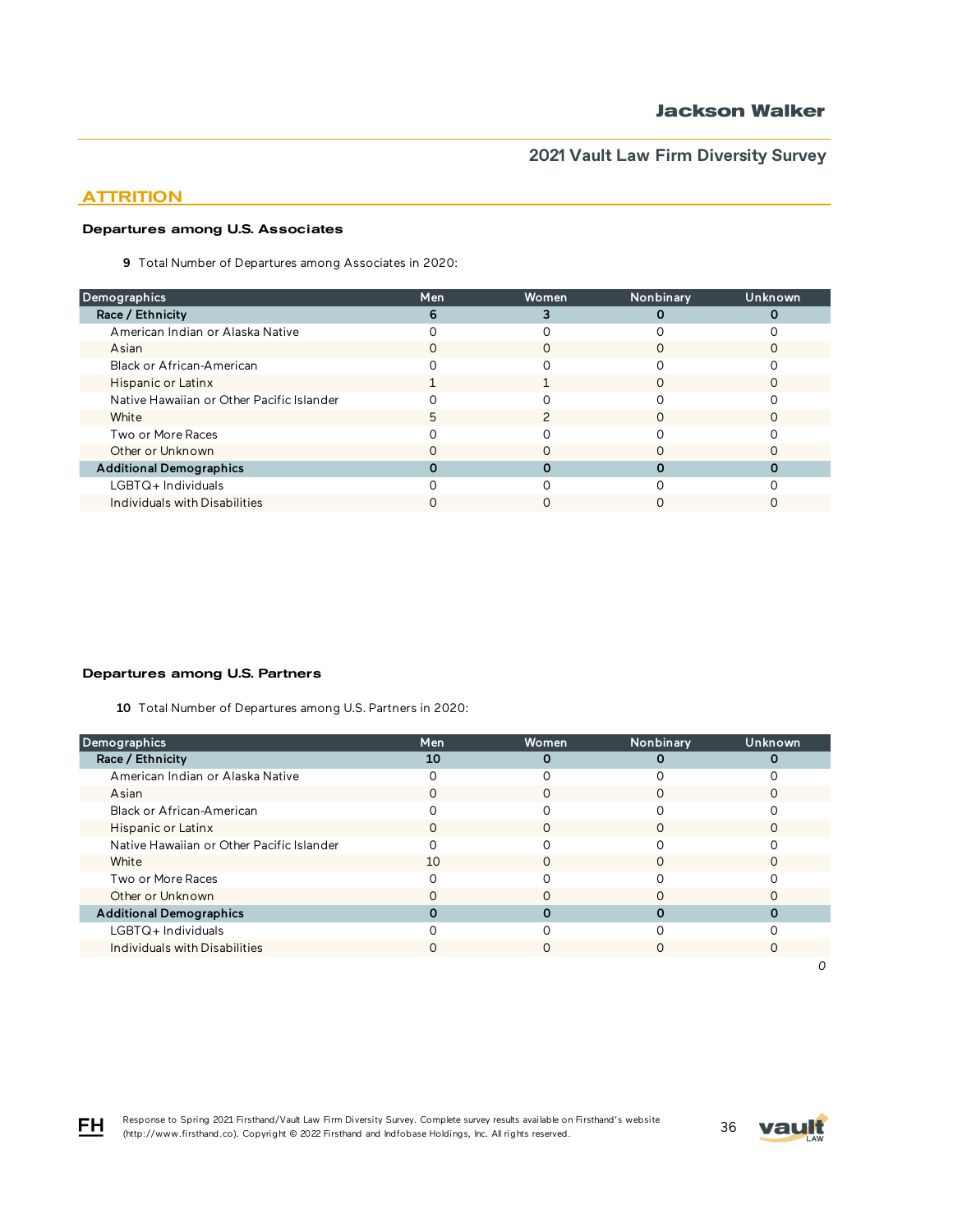## **ATTRITION**

### Departures among U.S. Associates

9 Total Number of Departures among Associates in 2020:

| Demographics                              | Men | Women | Nonbinary | Unknown |
|-------------------------------------------|-----|-------|-----------|---------|
| Race / Ethnicity                          |     |       |           |         |
| American Indian or Alaska Native          |     |       |           |         |
| Asian                                     |     |       |           |         |
| Black or African-American                 |     |       |           |         |
| Hispanic or Latinx                        |     |       |           |         |
| Native Hawaiian or Other Pacific Islander |     |       |           |         |
| White                                     | h   |       |           |         |
| Two or More Races                         |     |       |           |         |
| Other or Unknown                          |     |       |           |         |
| <b>Additional Demographics</b>            |     |       |           |         |
| $LGBTQ+$ Individuals                      |     |       |           |         |
| Individuals with Disabilities             |     |       |           |         |

### Departures among U.S. Partners

10 Total Number of Departures among U.S. Partners in 2020:

| Demographics                              | Men | <b>Women</b> | Nonbinary | Unknown |
|-------------------------------------------|-----|--------------|-----------|---------|
| Race / Ethnicity                          | 10  |              |           |         |
| American Indian or Alaska Native          |     |              |           |         |
| Asian                                     |     |              |           |         |
| Black or African-American                 |     |              |           |         |
| Hispanic or Latinx                        |     |              |           |         |
| Native Hawaiian or Other Pacific Islander |     |              |           |         |
| White                                     | 10  |              |           |         |
| Two or More Races                         |     |              |           |         |
| Other or Unknown                          |     |              |           |         |
| <b>Additional Demographics</b>            |     |              |           |         |
| $LGBTQ+$ Individuals                      |     |              |           |         |
| Individuals with Disabilities             |     |              |           |         |
|                                           |     |              |           |         |

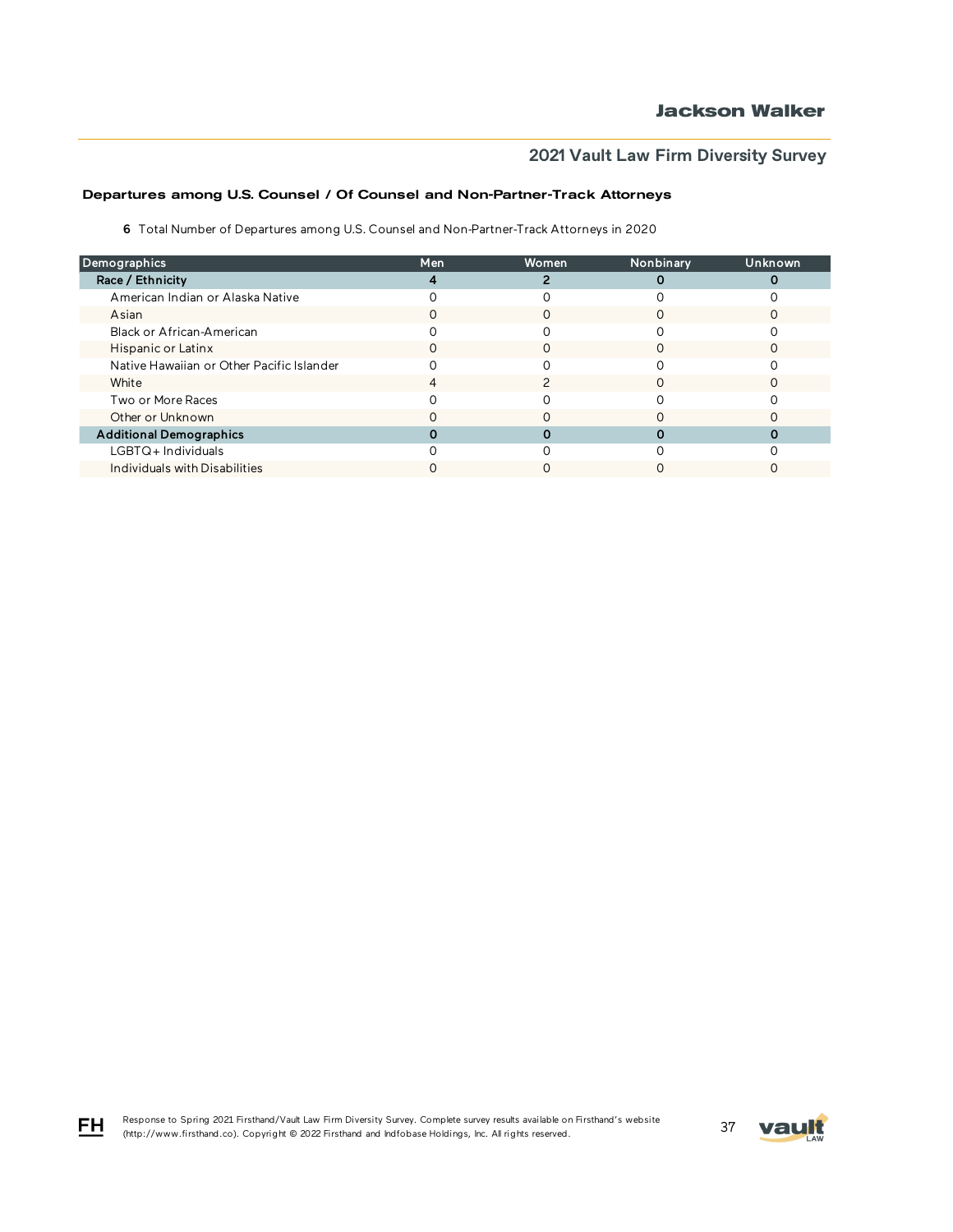### Departures among U.S. Counsel / Of Counsel and Non-Partner-Track Attorneys

6 Total Number of Departures among U.S. Counsel and Non-Partner-Track Attorneys in 2020

| Demographics                              | Men | Women | Nonbinary | <b>Unknown</b> |
|-------------------------------------------|-----|-------|-----------|----------------|
| Race / Ethnicity                          |     |       |           |                |
| American Indian or Alaska Native          |     |       |           |                |
| Asian                                     |     |       |           |                |
| Black or African-American                 |     |       |           |                |
| Hispanic or Latinx                        | O   | Ω     |           |                |
| Native Hawaiian or Other Pacific Islander |     |       |           |                |
| White                                     |     |       |           |                |
| Two or More Races                         |     |       |           |                |
| Other or Unknown                          |     |       |           |                |
| <b>Additional Demographics</b>            |     |       |           |                |
| LGBTQ+Individuals                         |     |       |           |                |
| Individuals with Disabilities             |     |       |           |                |

FH

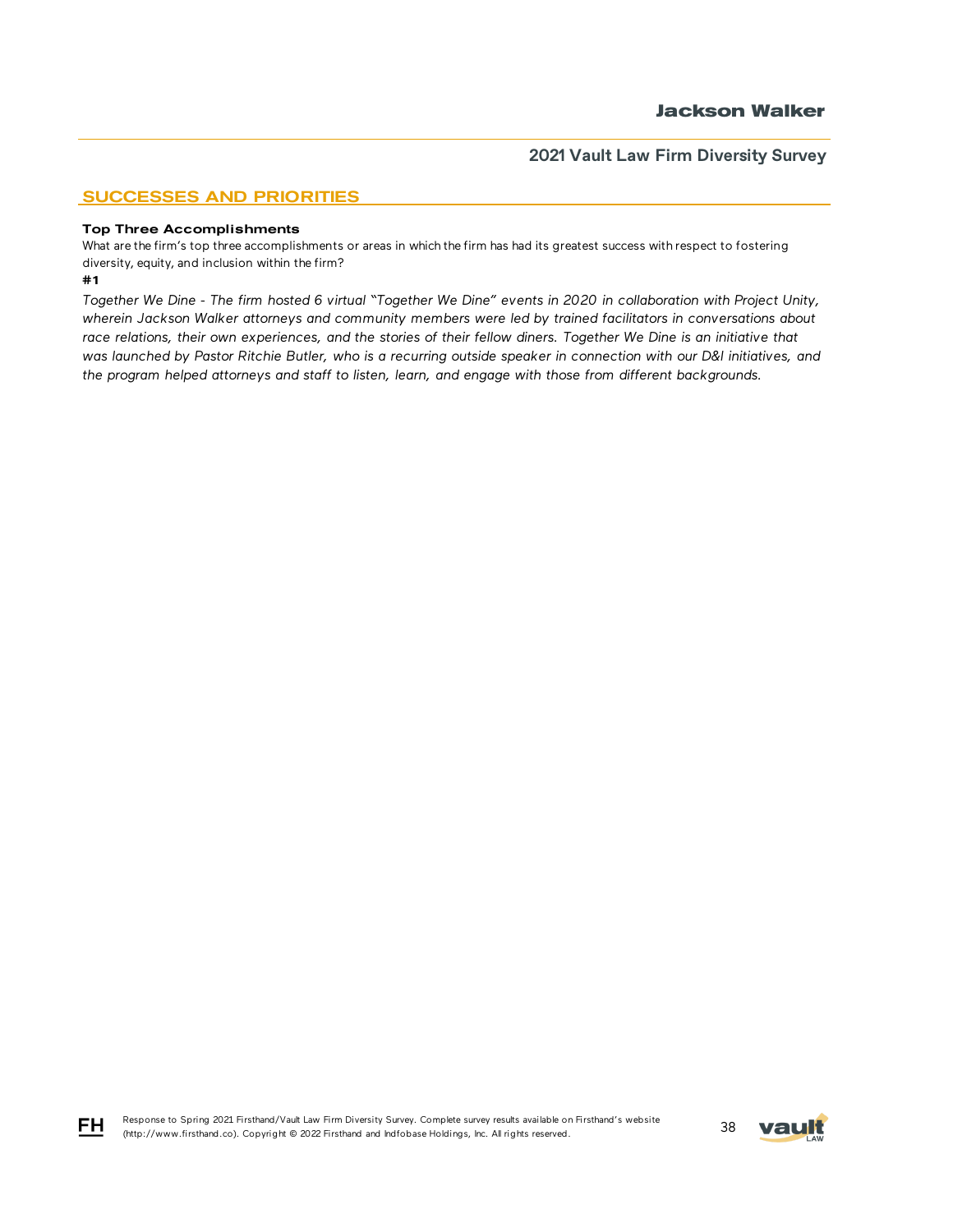## SUCCESSES AND PRIORITIES

#### Top Three Accomplishments

What are the firm's top three accomplishments or areas in which the firm has had its greatest success with respect to fostering diversity, equity, and inclusion within the firm?

#### #1

*Together We Dine - The firm hosted 6 virtual "Together We Dine" events in 2020 in collaboration with Project Unity, wherein Jackson Walker attorneys and community members were led by trained facilitators in conversations about*  race relations, their own experiences, and the stories of their fellow diners. Together We Dine is an initiative that *was launched by Pastor Ritchie Butler, who is a recurring outside speaker in connection with our D&I initiatives, and the program helped attorneys and staff to listen, learn, and engage with those from different backgrounds.*



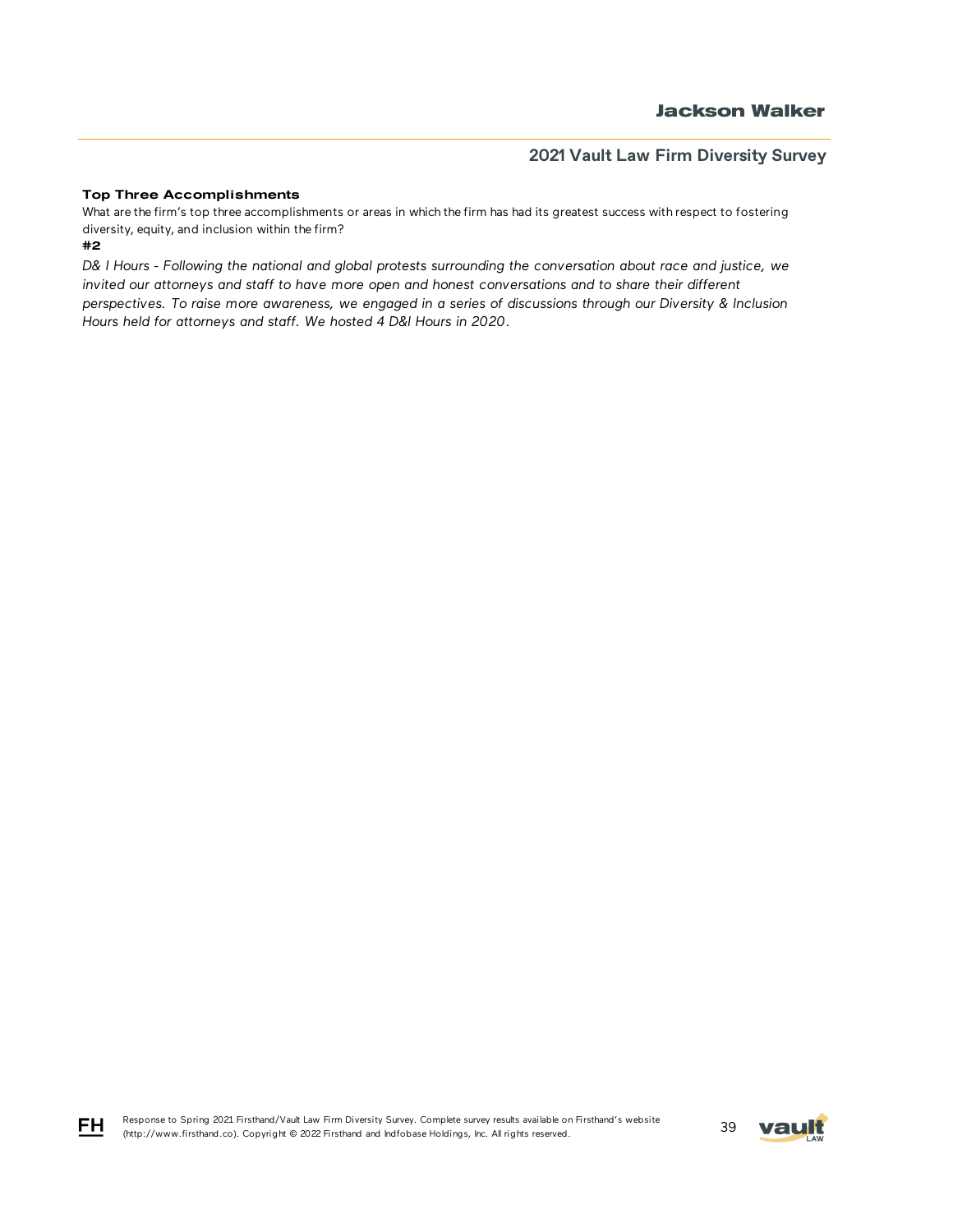### Top Three Accomplishments

What are the firm's top three accomplishments or areas in which the firm has had its greatest success with respect to fostering diversity, equity, and inclusion within the firm?

#2

FH

*D& I Hours - Following the national and global protests surrounding the conversation about race and justice, we invited our attorneys and staff to have more open and honest conversations and to share their different perspectives. To raise more awareness, we engaged in a series of discussions through our Diversity & Inclusion Hours held for attorneys and staff. We hosted 4 D&I Hours in 2020.*

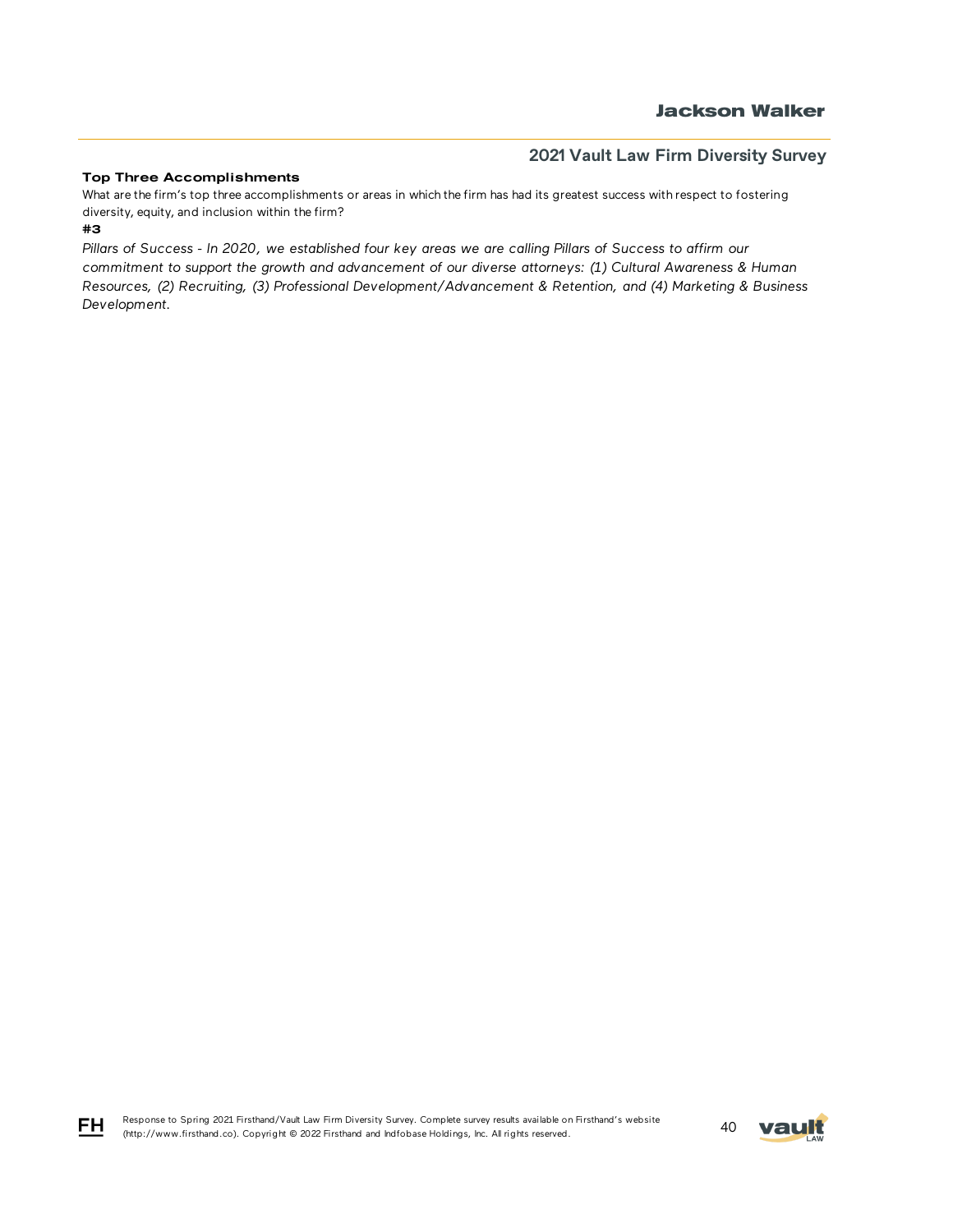### Top Three Accomplishments

#3 What are the firm's top three accomplishments or areas in which the firm has had its greatest success with respect to fostering diversity, equity, and inclusion within the firm?

*Pillars of Success - In 2020, we established four key areas we are calling Pillars of Success to affirm our commitment to support the growth and advancement of our diverse attorneys: (1) Cultural Awareness & Human Resources, (2) Recruiting, (3) Professional Development/Advancement & Retention, and (4) Marketing & Business Development.*



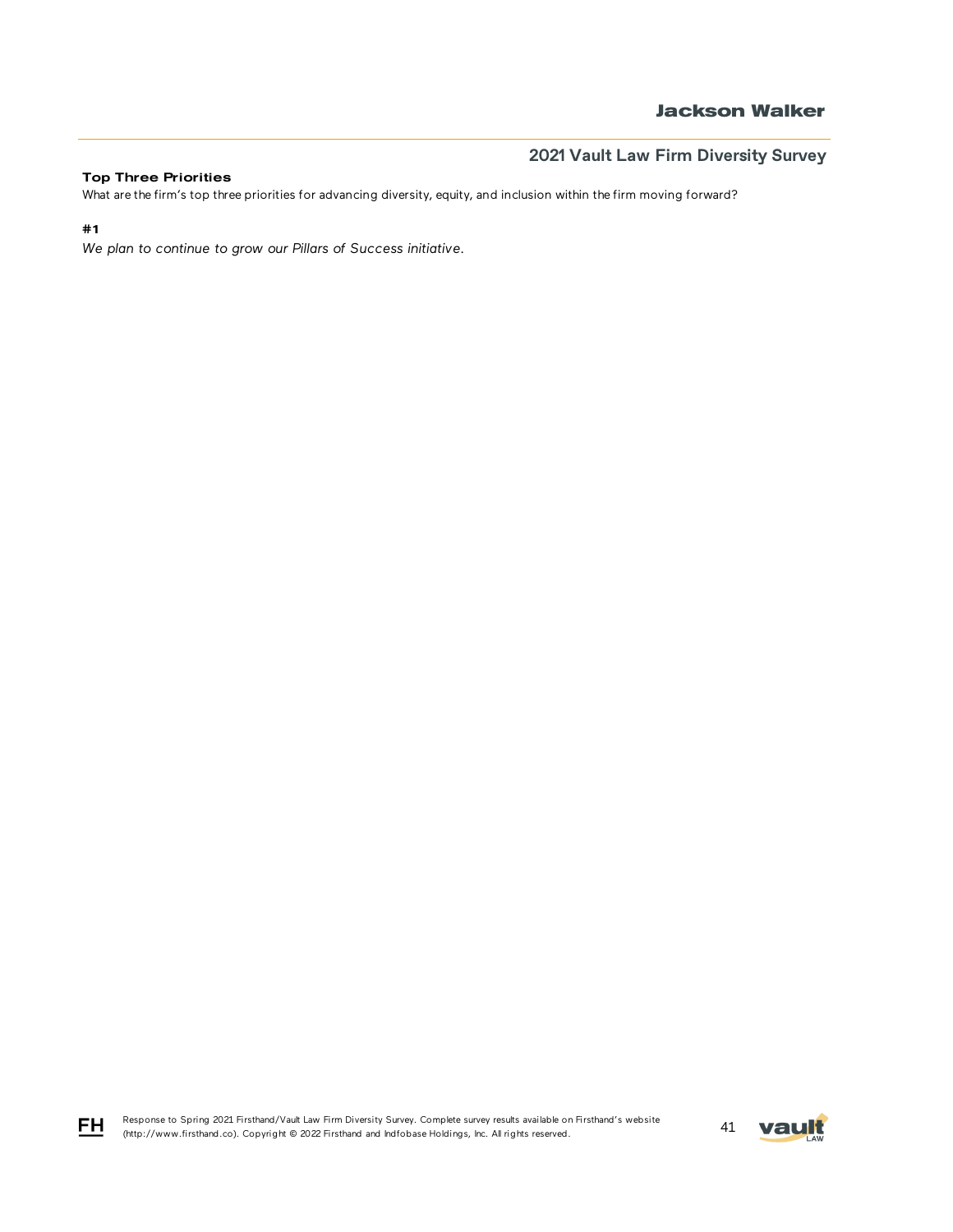### Top Three Priorities

What are the firm's top three priorities for advancing diversity, equity, and inclusion within the firm moving forward?

## #1

*We plan to continue to grow our Pillars of Success initiative.*

Response to Spring 2021 Firsthand/Vault Law Firm Diversity Survey. Complete survey results available on Firsthand's website Response to Spring 2021 Firstnand/Vault Law Firm Diversity Survey. Complete survey results available on Firstnand s website 41 **Vault** 



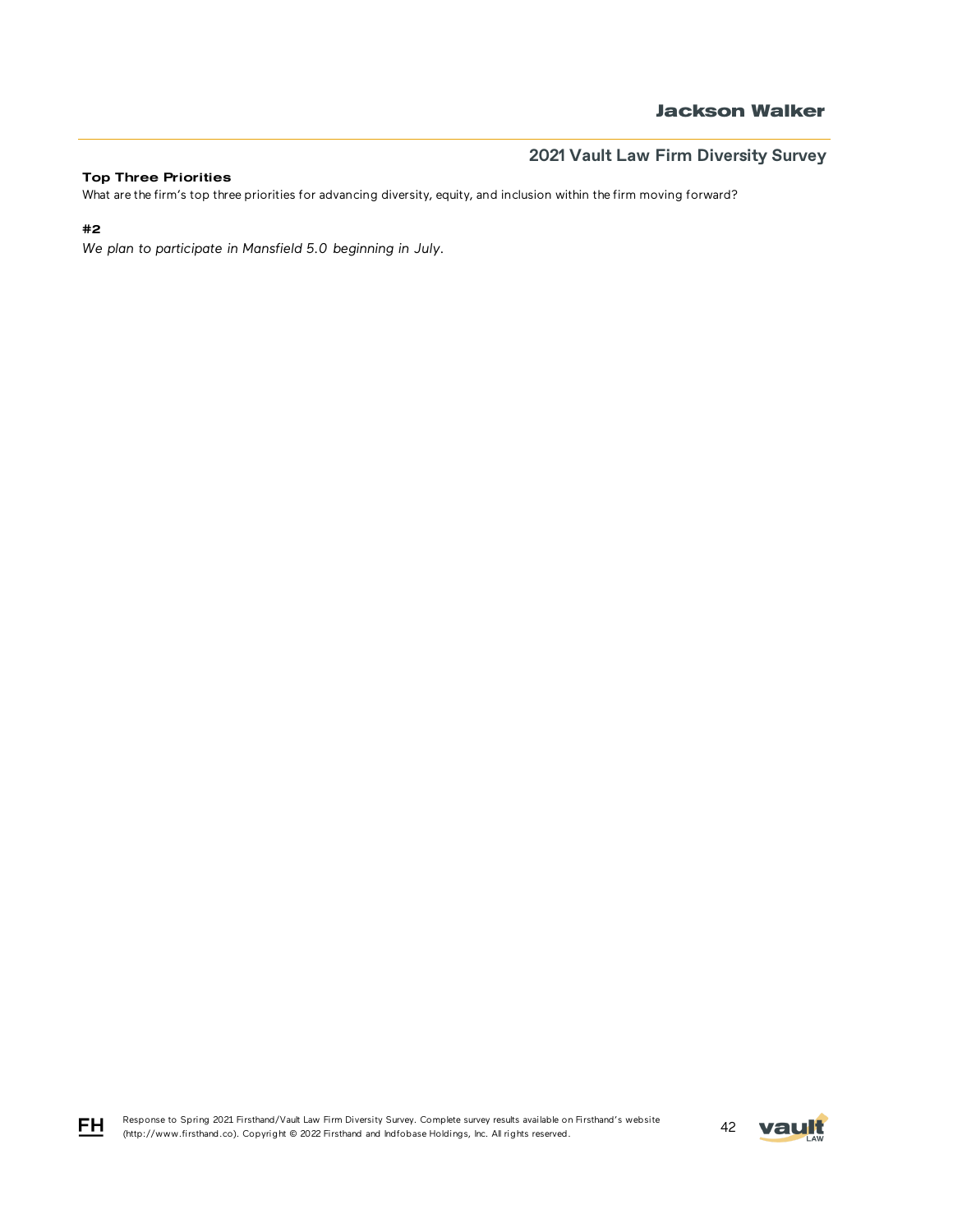## **Jackson Walker**

# **2021 Vault Law Firm Diversity Survey**

### Top Three Priorities

What are the firm's top three priorities for advancing diversity, equity, and inclusion within the firm moving forward?

## #2

*We plan to participate in Mansfield 5.0 beginning in July.*

Response to Spring 2021 Firsthand/Vault Law Firm Diversity Survey. Complete survey results available on Firsthand's website Response to Spring 2021 Firstnand/Vault Law Firm Diversity Survey. Complete survey results available on Firstnand's website<br>(http://www.firsthand.co). Copyright © 2022 Firsthand and Indfobase Holdings, Inc. All rights rese



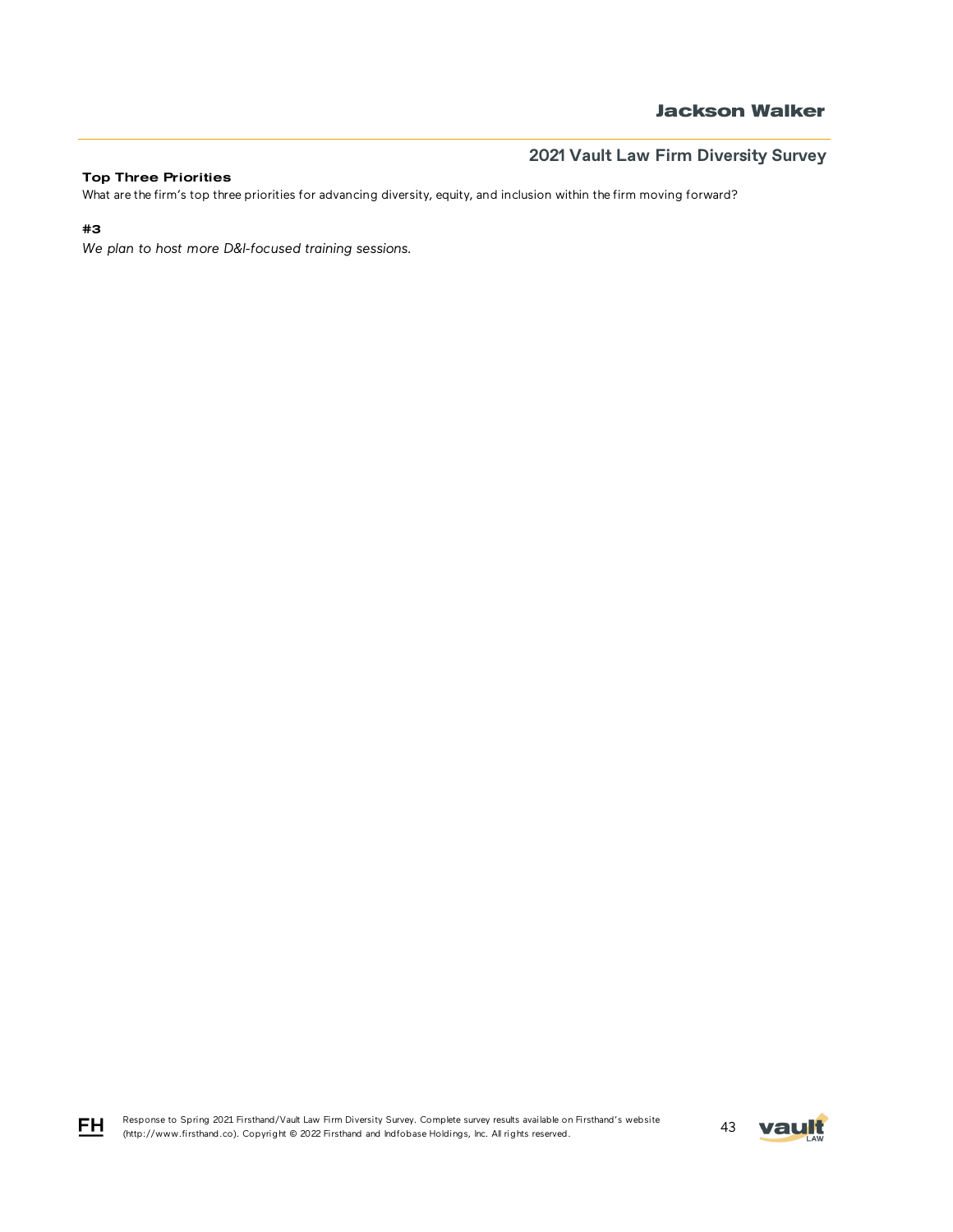## **Jackson Walker**

# **2021 Vault Law Firm Diversity Survey**

### Top Three Priorities

What are the firm's top three priorities for advancing diversity, equity, and inclusion within the firm moving forward?

## #3

*We plan to host more D&I-focused training sessions.*

Response to Spring 2021 Firsthand/Vault Law Firm Diversity Survey. Complete survey results available on Firsthand's website Response to Spring 2021 Firstnand/Vault Law Firm Diversity Survey. Complete survey results available on Firstnand's Website 43 Mault 1, 1998. All rights reserved.